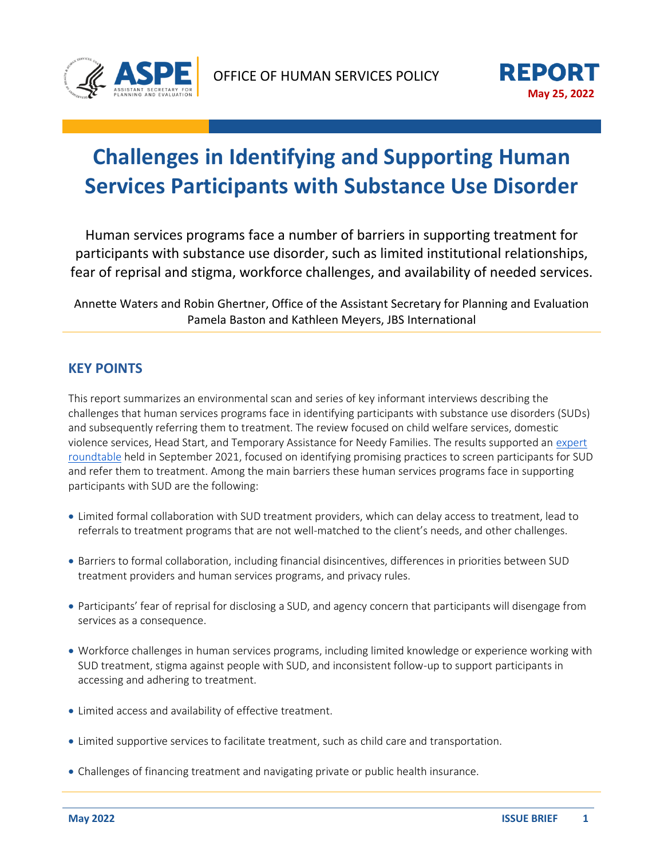

# **Challenges in Identifying and Supporting Human Services Participants with Substance Use Disorder**

Human services programs face a number of barriers in supporting treatment for participants with substance use disorder, such as limited institutional relationships, fear of reprisal and stigma, workforce challenges, and availability of needed services.

Annette Waters and Robin Ghertner, Office of the Assistant Secretary for Planning and Evaluation Pamela Baston and Kathleen Meyers, JBS International

## **KEY POINTS**

•

•

•

•

•

•

• This report summarizes an environmental scan and series of key informant interviews describing the challenges that human services programs face in identifying participants with substance use disorders (SUDs) and subsequently referring them to treatment. The review focused on child welfare services, domestic violence services, Head Start, and Temporary Assistance for Needy Families. The results supported an [expert](https://aspe.hhs.gov/reports/sud-id-referrals-treatment-human-services)  [roundtable](https://aspe.hhs.gov/reports/sud-id-referrals-treatment-human-services) held in September 2021, focused on identifying promising practices to screen participants for SUD and refer them to treatment. Among the main barriers these human services programs face in supporting participants with SUD are the following:

- Limited formal collaboration with SUD treatment providers, which can delay access to treatment, lead to referrals to treatment programs that are not well-matched to the client's needs, and other challenges.
- Barriers to formal collaboration, including financial disincentives, differences in priorities between SUD treatment providers and human services programs, and privacy rules.
- Participants' fear of reprisal for disclosing a SUD, and agency concern that participants will disengage from services as a consequence.
- Workforce challenges in human services programs, including limited knowledge or experience working with SUD treatment, stigma against people with SUD, and inconsistent follow-up to support participants in accessing and adhering to treatment.
- Limited access and availability of effective treatment.
- Limited supportive services to facilitate treatment, such as child care and transportation.
- Challenges of financing treatment and navigating private or public health insurance.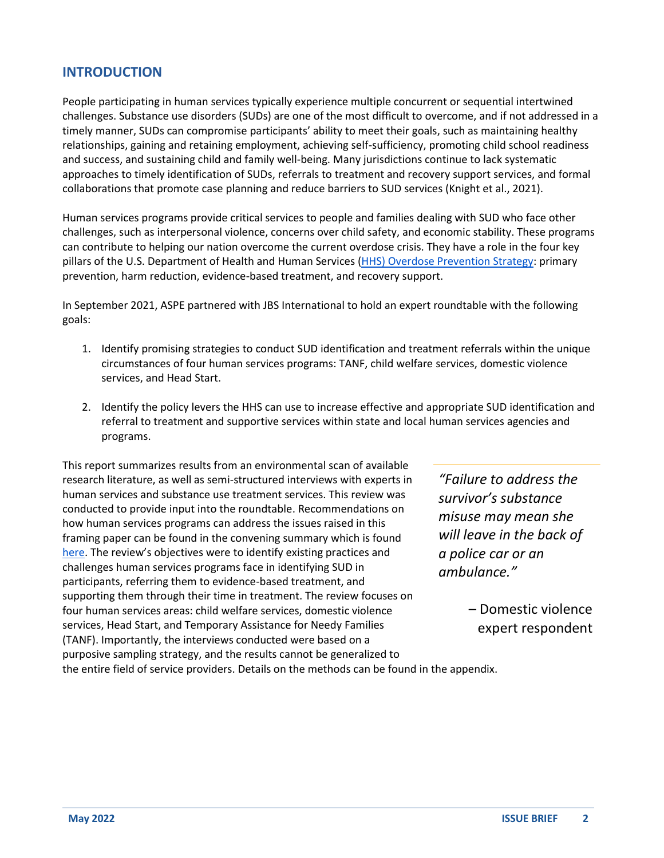### **INTRODUCTION**

People participating in human services typically experience multiple concurrent or sequential intertwined challenges. Substance use disorders (SUDs) are one of the most difficult to overcome, and if not addressed in a timely manner, SUDs can compromise participants' ability to meet their goals, such as maintaining healthy relationships, gaining and retaining employment, achieving self-sufficiency, promoting child school readiness and success, and sustaining child and family well-being. Many jurisdictions continue to lack systematic approaches to timely identification of SUDs, referrals to treatment and recovery support services, and formal collaborations that promote case planning and reduce barriers to SUD services (Knight et al., 2021).

Human services programs provide critical services to people and families dealing with SUD who face other challenges, such as interpersonal violence, concerns over child safety, and economic stability. These programs can contribute to helping our nation overcome the current overdose crisis. They have a role in the four key pillars of the U.S. Department of Health and Human Services (HHS) [Overdose Prevention Strategy:](https://www.hhs.gov/overdose-prevention/) primary prevention, harm reduction, evidence-based treatment, and recovery support.

In September 2021, ASPE partnered with JBS International to hold an expert roundtable with the following goals:

- 1. Identify promising strategies to conduct SUD identification and treatment referrals within the unique circumstances of four human services programs: TANF, child welfare services, domestic violence services, and Head Start.
- 2. Identify the policy levers the HHS can use to increase effective and appropriate SUD identification and referral to treatment and supportive services within state and local human services agencies and programs.

This report summarizes results from an environmental scan of available research literature, as well as semi-structured interviews with experts in human services and substance use treatment services. This review was conducted to provide input into the roundtable. Recommendations on how human services programs can address the issues raised in this framing paper can be found in the convening summary which is found [here](https://aspe.hhs.gov/reports/sud-id-referrals-treatment-human-services). The review's objectives were to identify existing practices and challenges human services programs face in identifying SUD in participants, referring them to evidence-based treatment, and supporting them through their time in treatment. The review focuses on four human services areas: child welfare services, domestic violence services, Head Start, and Temporary Assistance for Needy Families (TANF). Importantly, the interviews conducted were based on a purposive sampling strategy, and the results cannot be generalized to the entire field of service providers. Details on the methods can be found in the appendix.

*"Failure to address the survivor's substance misuse may mean she will leave in the back of a police car or an ambulance."* 

> – Domestic violence expert respondent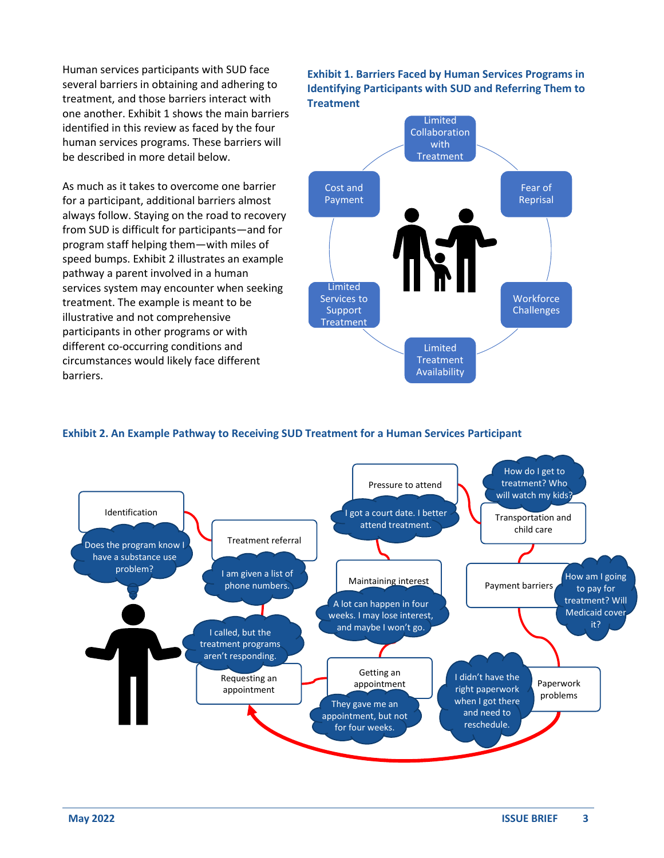Human services participants with SUD face several barriers in obtaining and adhering to treatment, and those barriers interact with one another. Exhibit 1 shows the main barriers identified in this review as faced by the four human services programs. These barriers will be described in more detail below.

As much as it takes to overcome one barrier for a participant, additional barriers almost always follow. Staying on the road to recovery from SUD is difficult for participants—and for program staff helping them—with miles of speed bumps. Exhibit 2 illustrates an example pathway a parent involved in a human services system may encounter when seeking treatment. The example is meant to be illustrative and not comprehensive participants in other programs or with different co-occurring conditions and circumstances would likely face different barriers.

**Exhibit 1. Barriers Faced by Human Services Programs in Identifying Participants with SUD and Referring Them to Treatment**



### **Exhibit 2. An Example Pathway to Receiving SUD Treatment for a Human Services Participant**

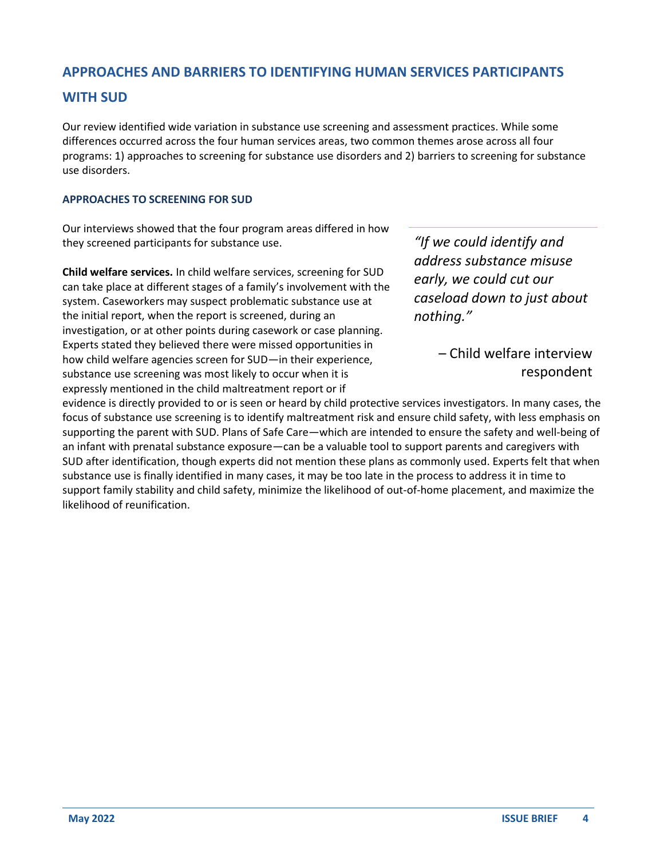### **APPROACHES AND BARRIERS TO IDENTIFYING HUMAN SERVICES PARTICIPANTS**

### **WITH SUD**

Our review identified wide variation in substance use screening and assessment practices. While some differences occurred across the four human services areas, two common themes arose across all four programs: 1) approaches to screening for substance use disorders and 2) barriers to screening for substance use disorders.

### **APPROACHES TO SCREENING FOR SUD**

Our interviews showed that the four program areas differed in how they screened participants for substance use.

**Child welfare services.** In child welfare services, screening for SUD can take place at different stages of a family's involvement with the system. Caseworkers may suspect problematic substance use at the initial report, when the report is screened, during an investigation, or at other points during casework or case planning. Experts stated they believed there were missed opportunities in how child welfare agencies screen for SUD—in their experience, substance use screening was most likely to occur when it is expressly mentioned in the child maltreatment report or if

*"If we could identify and address substance misuse early, we could cut our caseload down to just about nothing."* 

> – Child welfare interview respondent

evidence is directly provided to or is seen or heard by child protective services investigators. In many cases, the focus of substance use screening is to identify maltreatment risk and ensure child safety, with less emphasis on supporting the parent with SUD. Plans of Safe Care—which are intended to ensure the safety and well-being of an infant with prenatal substance exposure—can be a valuable tool to support parents and caregivers with SUD after identification, though experts did not mention these plans as commonly used. Experts felt that when substance use is finally identified in many cases, it may be too late in the process to address it in time to support family stability and child safety, minimize the likelihood of out-of-home placement, and maximize the likelihood of reunification.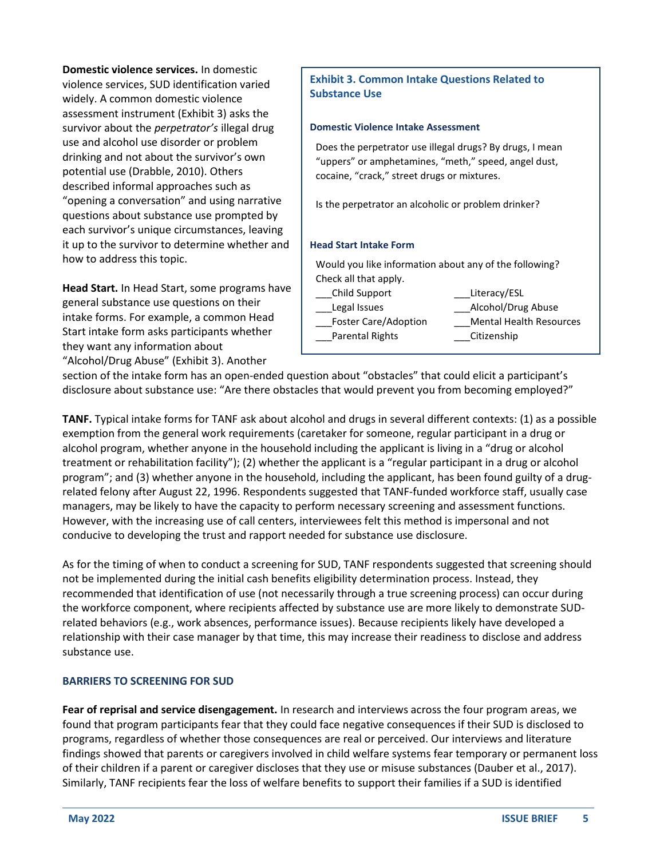**Domestic violence services.** In domestic violence services, SUD identification varied widely. A common domestic violence assessment instrument (Exhibit 3) asks the survivor about the *perpetrator's* illegal drug use and alcohol use disorder or problem drinking and not about the survivor's own potential use (Drabble, 2010). Others described informal approaches such as "opening a conversation" and using narrative questions about substance use prompted by each survivor's unique circumstances, leaving it up to the survivor to determine whether and how to address this topic.

**Head Start.** In Head Start, some programs have general substance use questions on their intake forms. For example, a common Head Start intake form asks participants whether they want any information about "Alcohol/Drug Abuse" (Exhibit 3). Another

### **Exhibit 3. Common Intake Questions Related to Substance Use**

#### **Domestic Violence Intake Assessment**

Does the perpetrator use illegal drugs? By drugs, I mean "uppers" or amphetamines, "meth," speed, angel dust, cocaine, "crack," street drugs or mixtures.

Is the perpetrator an alcoholic or problem drinker?

#### **Head Start Intake Form**

Would you like information about any of the following? Check all that apply.

\_\_\_Child Support \_\_\_Literacy/ESL

Parental Rights \_\_\_\_\_\_\_\_\_\_\_Citizenship

Legal Issues **Example 20** Alcohol/Drug Abuse

Foster Care/Adoption Mental Health Resources

section of the intake form has an open-ended question about "obstacles" that could elicit a participant's disclosure about substance use: "Are there obstacles that would prevent you from becoming employed?"

**TANF.** Typical intake forms for TANF ask about alcohol and drugs in several different contexts: (1) as a possible exemption from the general work requirements (caretaker for someone, regular participant in a drug or alcohol program, whether anyone in the household including the applicant is living in a "drug or alcohol treatment or rehabilitation facility"); (2) whether the applicant is a "regular participant in a drug or alcohol program"; and (3) whether anyone in the household, including the applicant, has been found guilty of a drugrelated felony after August 22, 1996. Respondents suggested that TANF-funded workforce staff, usually case managers, may be likely to have the capacity to perform necessary screening and assessment functions. However, with the increasing use of call centers, interviewees felt this method is impersonal and not conducive to developing the trust and rapport needed for substance use disclosure.

As for the timing of when to conduct a screening for SUD, TANF respondents suggested that screening should not be implemented during the initial cash benefits eligibility determination process. Instead, they recommended that identification of use (not necessarily through a true screening process) can occur during the workforce component, where recipients affected by substance use are more likely to demonstrate SUDrelated behaviors (e.g., work absences, performance issues). Because recipients likely have developed a relationship with their case manager by that time, this may increase their readiness to disclose and address substance use.

#### **BARRIERS TO SCREENING FOR SUD**

**Fear of reprisal and service disengagement.** In research and interviews across the four program areas, we found that program participants fear that they could face negative consequences if their SUD is disclosed to programs, regardless of whether those consequences are real or perceived. Our interviews and literature findings showed that parents or caregivers involved in child welfare systems fear temporary or permanent loss of their children if a parent or caregiver discloses that they use or misuse substances (Dauber et al., 2017). Similarly, TANF recipients fear the loss of welfare benefits to support their families if a SUD is identified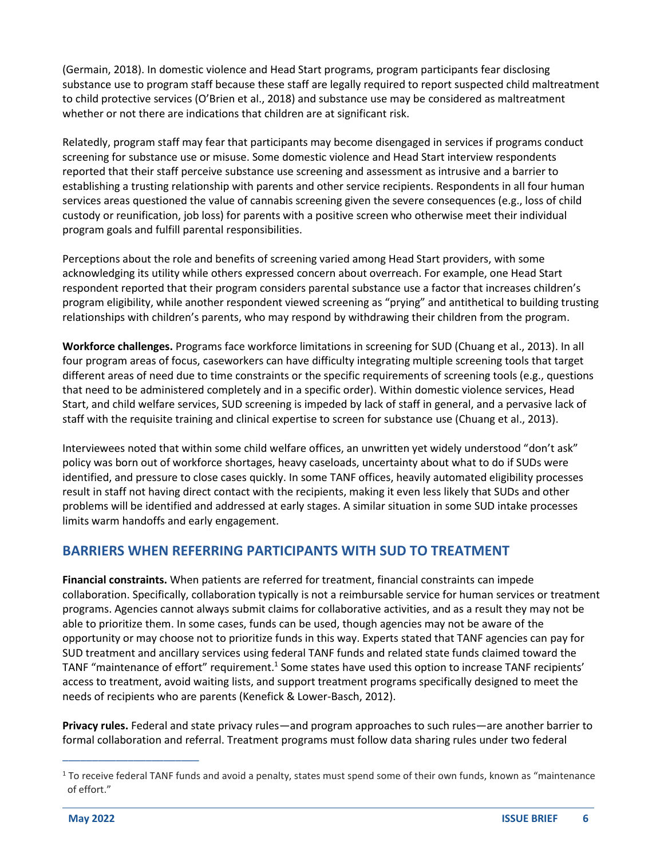(Germain, 2018). In domestic violence and Head Start programs, program participants fear disclosing substance use to program staff because these staff are legally required to report suspected child maltreatment to child protective services (O'Brien et al., 2018) and substance use may be considered as maltreatment whether or not there are indications that children are at significant risk.

Relatedly, program staff may fear that participants may become disengaged in services if programs conduct screening for substance use or misuse. Some domestic violence and Head Start interview respondents reported that their staff perceive substance use screening and assessment as intrusive and a barrier to establishing a trusting relationship with parents and other service recipients. Respondents in all four human services areas questioned the value of cannabis screening given the severe consequences (e.g., loss of child custody or reunification, job loss) for parents with a positive screen who otherwise meet their individual program goals and fulfill parental responsibilities.

Perceptions about the role and benefits of screening varied among Head Start providers, with some acknowledging its utility while others expressed concern about overreach. For example, one Head Start respondent reported that their program considers parental substance use a factor that increases children's program eligibility, while another respondent viewed screening as "prying" and antithetical to building trusting relationships with children's parents, who may respond by withdrawing their children from the program.

**Workforce challenges.** Programs face workforce limitations in screening for SUD (Chuang et al., 2013). In all four program areas of focus, caseworkers can have difficulty integrating multiple screening tools that target different areas of need due to time constraints or the specific requirements of screening tools (e.g., questions that need to be administered completely and in a specific order). Within domestic violence services, Head Start, and child welfare services, SUD screening is impeded by lack of staff in general, and a pervasive lack of staff with the requisite training and clinical expertise to screen for substance use (Chuang et al., 2013).

Interviewees noted that within some child welfare offices, an unwritten yet widely understood "don't ask" policy was born out of workforce shortages, heavy caseloads, uncertainty about what to do if SUDs were identified, and pressure to close cases quickly. In some TANF offices, heavily automated eligibility processes result in staff not having direct contact with the recipients, making it even less likely that SUDs and other problems will be identified and addressed at early stages. A similar situation in some SUD intake processes limits warm handoffs and early engagement.

# **BARRIERS WHEN REFERRING PARTICIPANTS WITH SUD TO TREATMENT**

**Financial constraints.** When patients are referred for treatment, financial constraints can impede collaboration. Specifically, collaboration typically is not a reimbursable service for human services or treatment programs. Agencies cannot always submit claims for collaborative activities, and as a result they may not be able to prioritize them. In some cases, funds can be used, though agencies may not be aware of the opportunity or may choose not to prioritize funds in this way. Experts stated that TANF agencies can pay for SUD treatment and ancillary services using federal TANF funds and related state funds claimed toward the TANF "maintenance of effort" requirement.<sup>1</sup> Some states have used this option to increase TANF recipients' access to treatment, avoid waiting lists, and support treatment programs specifically designed to meet the needs of recipients who are parents (Kenefick & Lower-Basch, 2012).

**Privacy rules.** Federal and state privacy rules—and program approaches to such rules—are another barrier to formal collaboration and referral. Treatment programs must follow data sharing rules under two federal

 $1$  To receive federal TANF funds and avoid a penalty, states must spend some of their own funds, known as "maintenance of effort."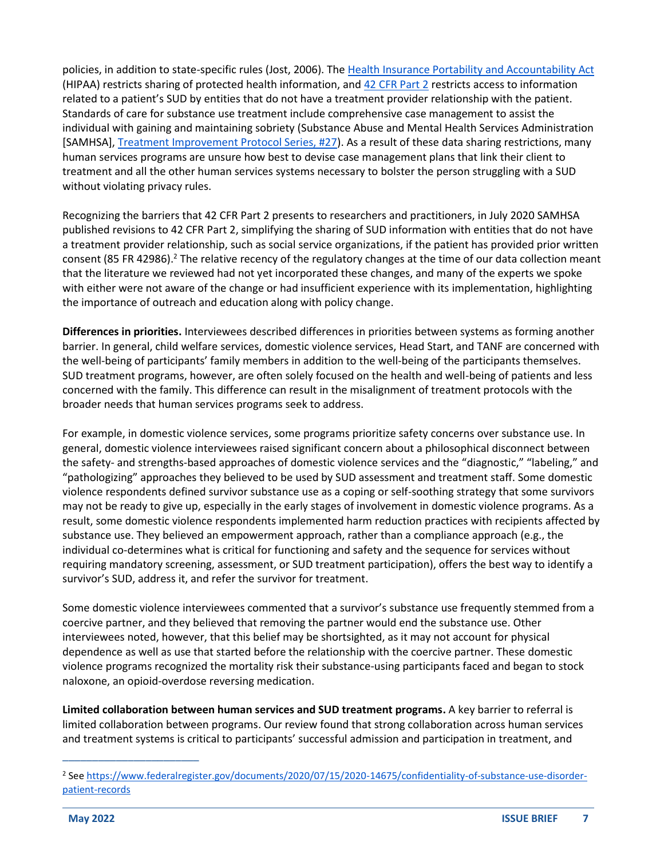policies, in addition to state-specific rules (Jost, 2006). Th[e Health Insurance Portability and Accountability Act](https://www.cdc.gov/phlp/publications/topic/hipaa.html#:~:text=The%20Health%20Insurance%20Portability%20and,the%20patient) (HIPAA) restricts sharing of protected health information, an[d 42 CFR Part 2](https://www.samhsa.gov/about-us/who-we-are/laws-regulations/confidentiality-regulations-faqs) restricts access to information related to a patient's SUD by entities that do not have a treatment provider relationship with the patient. Standards of care for substance use treatment include comprehensive case management to assist the individual with gaining and maintaining sobriety (Substance Abuse and Mental Health Services Administration [SAMHSA][, Treatment Improvement Protocol Series, #27\)](https://store.samhsa.gov/product/TIP-27-Comprehensive-Case-Management-for-Substance-Abuse-Treatment/SMA15-4215). As a result of these data sharing restrictions, many human services programs are unsure how best to devise case management plans that link their client to treatment and all the other human services systems necessary to bolster the person struggling with a SUD without violating privacy rules.

Recognizing the barriers that 42 CFR Part 2 presents to researchers and practitioners, in July 2020 SAMHSA published revisions to 42 CFR Part 2, simplifying the sharing of SUD information with entities that do not have a treatment provider relationship, such as social service organizations, if the patient has provided prior written consent (85 FR 42986).<sup>2</sup> The relative recency of the regulatory changes at the time of our data collection meant that the literature we reviewed had not yet incorporated these changes, and many of the experts we spoke with either were not aware of the change or had insufficient experience with its implementation, highlighting the importance of outreach and education along with policy change.

**Differences in priorities.** Interviewees described differences in priorities between systems as forming another barrier. In general, child welfare services, domestic violence services, Head Start, and TANF are concerned with the well-being of participants' family members in addition to the well-being of the participants themselves. SUD treatment programs, however, are often solely focused on the health and well-being of patients and less concerned with the family. This difference can result in the misalignment of treatment protocols with the broader needs that human services programs seek to address.

For example, in domestic violence services, some programs prioritize safety concerns over substance use. In general, domestic violence interviewees raised significant concern about a philosophical disconnect between the safety- and strengths-based approaches of domestic violence services and the "diagnostic," "labeling," and "pathologizing" approaches they believed to be used by SUD assessment and treatment staff. Some domestic violence respondents defined survivor substance use as a coping or self-soothing strategy that some survivors may not be ready to give up, especially in the early stages of involvement in domestic violence programs. As a result, some domestic violence respondents implemented harm reduction practices with recipients affected by substance use. They believed an empowerment approach, rather than a compliance approach (e.g., the individual co-determines what is critical for functioning and safety and the sequence for services without requiring mandatory screening, assessment, or SUD treatment participation), offers the best way to identify a survivor's SUD, address it, and refer the survivor for treatment.

Some domestic violence interviewees commented that a survivor's substance use frequently stemmed from a coercive partner, and they believed that removing the partner would end the substance use. Other interviewees noted, however, that this belief may be shortsighted, as it may not account for physical dependence as well as use that started before the relationship with the coercive partner. These domestic violence programs recognized the mortality risk their substance-using participants faced and began to stock naloxone, an opioid-overdose reversing medication.

**Limited collaboration between human services and SUD treatment programs.** A key barrier to referral is limited collaboration between programs. Our review found that strong collaboration across human services and treatment systems is critical to participants' successful admission and participation in treatment, and

<sup>&</sup>lt;sup>2</sup> See [https://www.federalregister.gov/documents/2020/07/15/2020-14675/confidentiality-of-substance-use-disorder](https://www.federalregister.gov/documents/2020/07/15/2020-14675/confidentiality-of-substance-use-disorder-patient-records)[patient-records](https://www.federalregister.gov/documents/2020/07/15/2020-14675/confidentiality-of-substance-use-disorder-patient-records)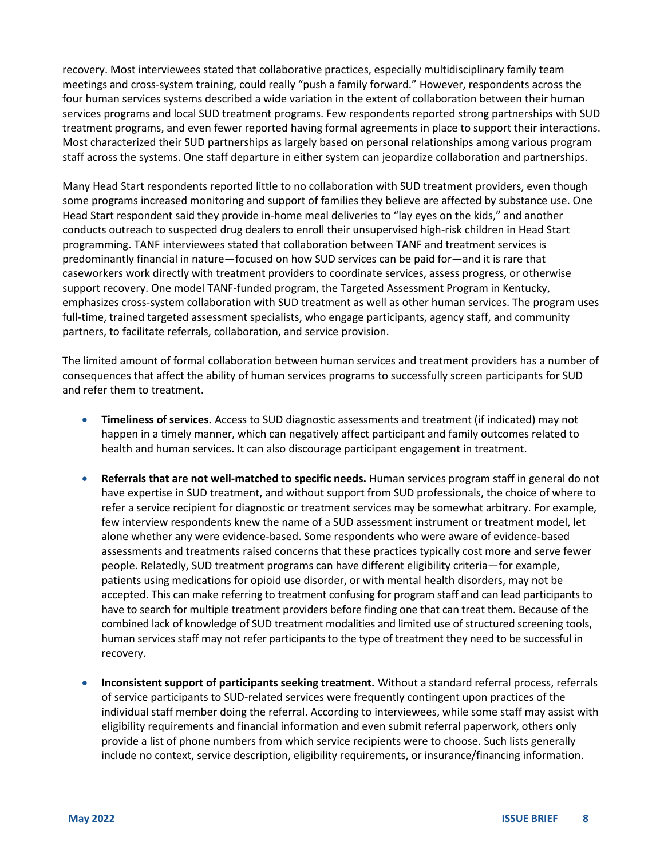recovery. Most interviewees stated that collaborative practices, especially multidisciplinary family team meetings and cross-system training, could really "push a family forward." However, respondents across the four human services systems described a wide variation in the extent of collaboration between their human services programs and local SUD treatment programs. Few respondents reported strong partnerships with SUD treatment programs, and even fewer reported having formal agreements in place to support their interactions. Most characterized their SUD partnerships as largely based on personal relationships among various program staff across the systems. One staff departure in either system can jeopardize collaboration and partnerships.

Many Head Start respondents reported little to no collaboration with SUD treatment providers, even though some programs increased monitoring and support of families they believe are affected by substance use. One Head Start respondent said they provide in-home meal deliveries to "lay eyes on the kids," and another conducts outreach to suspected drug dealers to enroll their unsupervised high-risk children in Head Start programming. TANF interviewees stated that collaboration between TANF and treatment services is predominantly financial in nature—focused on how SUD services can be paid for—and it is rare that caseworkers work directly with treatment providers to coordinate services, assess progress, or otherwise support recovery. One model TANF-funded program, the Targeted Assessment Program in Kentucky, emphasizes cross-system collaboration with SUD treatment as well as other human services. The program uses full-time, trained targeted assessment specialists, who engage participants, agency staff, and community partners, to facilitate referrals, collaboration, and service provision.

The limited amount of formal collaboration between human services and treatment providers has a number of consequences that affect the ability of human services programs to successfully screen participants for SUD and refer them to treatment.

- **Timeliness of services.** Access to SUD diagnostic assessments and treatment (if indicated) may not happen in a timely manner, which can negatively affect participant and family outcomes related to health and human services. It can also discourage participant engagement in treatment.
- **Referrals that are not well-matched to specific needs.** Human services program staff in general do not have expertise in SUD treatment, and without support from SUD professionals, the choice of where to refer a service recipient for diagnostic or treatment services may be somewhat arbitrary. For example, few interview respondents knew the name of a SUD assessment instrument or treatment model, let alone whether any were evidence-based. Some respondents who were aware of evidence-based assessments and treatments raised concerns that these practices typically cost more and serve fewer people. Relatedly, SUD treatment programs can have different eligibility criteria—for example, patients using medications for opioid use disorder, or with mental health disorders, may not be accepted. This can make referring to treatment confusing for program staff and can lead participants to have to search for multiple treatment providers before finding one that can treat them. Because of the combined lack of knowledge of SUD treatment modalities and limited use of structured screening tools, human services staff may not refer participants to the type of treatment they need to be successful in recovery.
- **Inconsistent support of participants seeking treatment.** Without a standard referral process, referrals of service participants to SUD-related services were frequently contingent upon practices of the individual staff member doing the referral. According to interviewees, while some staff may assist with eligibility requirements and financial information and even submit referral paperwork, others only provide a list of phone numbers from which service recipients were to choose. Such lists generally include no context, service description, eligibility requirements, or insurance/financing information.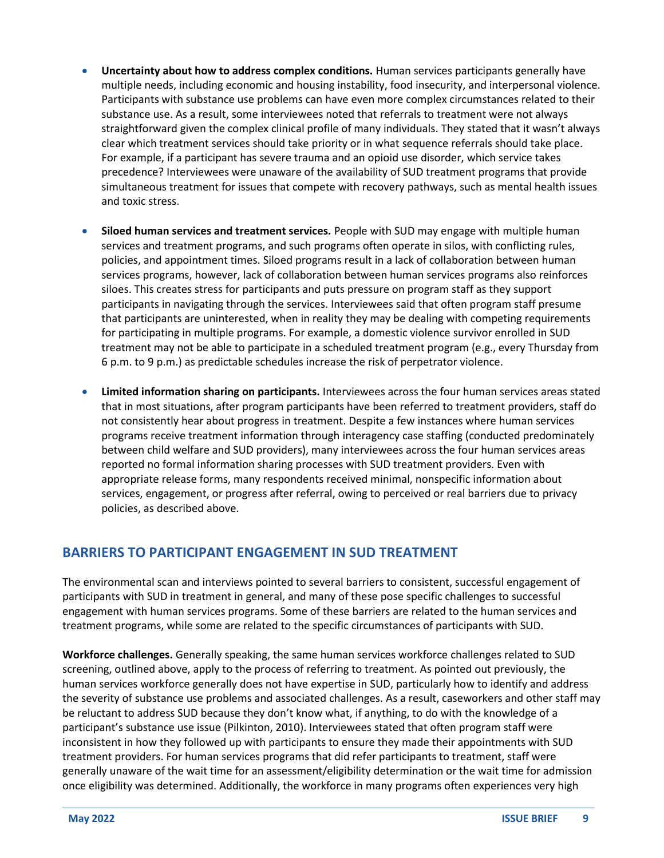- **Uncertainty about how to address complex conditions.** Human services participants generally have multiple needs, including economic and housing instability, food insecurity, and interpersonal violence. Participants with substance use problems can have even more complex circumstances related to their substance use. As a result, some interviewees noted that referrals to treatment were not always straightforward given the complex clinical profile of many individuals. They stated that it wasn't always clear which treatment services should take priority or in what sequence referrals should take place. For example, if a participant has severe trauma and an opioid use disorder, which service takes precedence? Interviewees were unaware of the availability of SUD treatment programs that provide simultaneous treatment for issues that compete with recovery pathways, such as mental health issues and toxic stress.
- **Siloed human services and treatment services.** People with SUD may engage with multiple human services and treatment programs, and such programs often operate in silos, with conflicting rules, policies, and appointment times. Siloed programs result in a lack of collaboration between human services programs, however, lack of collaboration between human services programs also reinforces siloes. This creates stress for participants and puts pressure on program staff as they support participants in navigating through the services. Interviewees said that often program staff presume that participants are uninterested, when in reality they may be dealing with competing requirements for participating in multiple programs. For example, a domestic violence survivor enrolled in SUD treatment may not be able to participate in a scheduled treatment program (e.g., every Thursday from 6 p.m. to 9 p.m.) as predictable schedules increase the risk of perpetrator violence.
- **Limited information sharing on participants.** Interviewees across the four human services areas stated that in most situations, after program participants have been referred to treatment providers, staff do not consistently hear about progress in treatment. Despite a few instances where human services programs receive treatment information through interagency case staffing (conducted predominately between child welfare and SUD providers), many interviewees across the four human services areas reported no formal information sharing processes with SUD treatment providers. Even with appropriate release forms, many respondents received minimal, nonspecific information about services, engagement, or progress after referral, owing to perceived or real barriers due to privacy policies, as described above.

# **BARRIERS TO PARTICIPANT ENGAGEMENT IN SUD TREATMENT**

The environmental scan and interviews pointed to several barriers to consistent, successful engagement of participants with SUD in treatment in general, and many of these pose specific challenges to successful engagement with human services programs. Some of these barriers are related to the human services and treatment programs, while some are related to the specific circumstances of participants with SUD.

**Workforce challenges.** Generally speaking, the same human services workforce challenges related to SUD screening, outlined above, apply to the process of referring to treatment. As pointed out previously, the human services workforce generally does not have expertise in SUD, particularly how to identify and address the severity of substance use problems and associated challenges. As a result, caseworkers and other staff may be reluctant to address SUD because they don't know what, if anything, to do with the knowledge of a participant's substance use issue (Pilkinton, 2010). Interviewees stated that often program staff were inconsistent in how they followed up with participants to ensure they made their appointments with SUD treatment providers. For human services programs that did refer participants to treatment, staff were generally unaware of the wait time for an assessment/eligibility determination or the wait time for admission once eligibility was determined. Additionally, the workforce in many programs often experiences very high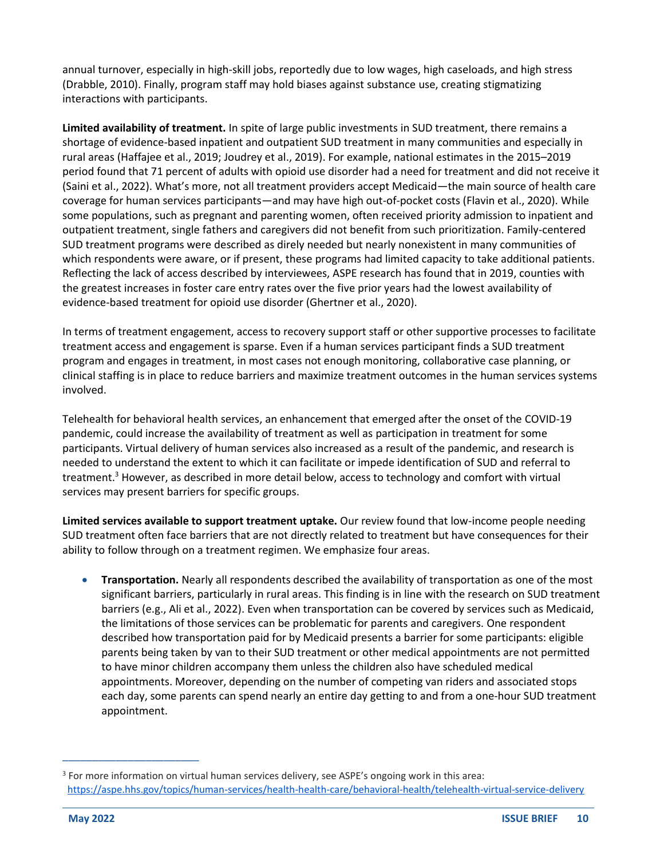annual turnover, especially in high-skill jobs, reportedly due to low wages, high caseloads, and high stress (Drabble, 2010). Finally, program staff may hold biases against substance use, creating stigmatizing interactions with participants.

**Limited availability of treatment.** In spite of large public investments in SUD treatment, there remains a shortage of evidence-based inpatient and outpatient SUD treatment in many communities and especially in rural areas (Haffajee et al., 2019; Joudrey et al., 2019). For example, national estimates in the 2015–2019 period found that 71 percent of adults with opioid use disorder had a need for treatment and did not receive it (Saini et al., 2022). What's more, not all treatment providers accept Medicaid—the main source of health care coverage for human services participants—and may have high out-of-pocket costs (Flavin et al., 2020). While some populations, such as pregnant and parenting women, often received priority admission to inpatient and outpatient treatment, single fathers and caregivers did not benefit from such prioritization. Family-centered SUD treatment programs were described as direly needed but nearly nonexistent in many communities of which respondents were aware, or if present, these programs had limited capacity to take additional patients. Reflecting the lack of access described by interviewees, ASPE research has found that in 2019, counties with the greatest increases in foster care entry rates over the five prior years had the lowest availability of evidence-based treatment for opioid use disorder (Ghertner et al., 2020).

In terms of treatment engagement, access to recovery support staff or other supportive processes to facilitate treatment access and engagement is sparse. Even if a human services participant finds a SUD treatment program and engages in treatment, in most cases not enough monitoring, collaborative case planning, or clinical staffing is in place to reduce barriers and maximize treatment outcomes in the human services systems involved.

Telehealth for behavioral health services, an enhancement that emerged after the onset of the COVID-19 pandemic, could increase the availability of treatment as well as participation in treatment for some participants. Virtual delivery of human services also increased as a result of the pandemic, and research is needed to understand the extent to which it can facilitate or impede identification of SUD and referral to treatment.<sup>3</sup> However, as described in more detail below, access to technology and comfort with virtual services may present barriers for specific groups.

**Limited services available to support treatment uptake.** Our review found that low-income people needing SUD treatment often face barriers that are not directly related to treatment but have consequences for their ability to follow through on a treatment regimen. We emphasize four areas.

• **Transportation.** Nearly all respondents described the availability of transportation as one of the most significant barriers, particularly in rural areas. This finding is in line with the research on SUD treatment barriers (e.g., Ali et al., 2022). Even when transportation can be covered by services such as Medicaid, the limitations of those services can be problematic for parents and caregivers. One respondent described how transportation paid for by Medicaid presents a barrier for some participants: eligible parents being taken by van to their SUD treatment or other medical appointments are not permitted to have minor children accompany them unless the children also have scheduled medical appointments. Moreover, depending on the number of competing van riders and associated stops each day, some parents can spend nearly an entire day getting to and from a one-hour SUD treatment appointment.

<sup>&</sup>lt;sup>3</sup> For more information on virtual human services delivery, see ASPE's ongoing work in this area: <https://aspe.hhs.gov/topics/human-services/health-health-care/behavioral-health/telehealth-virtual-service-delivery>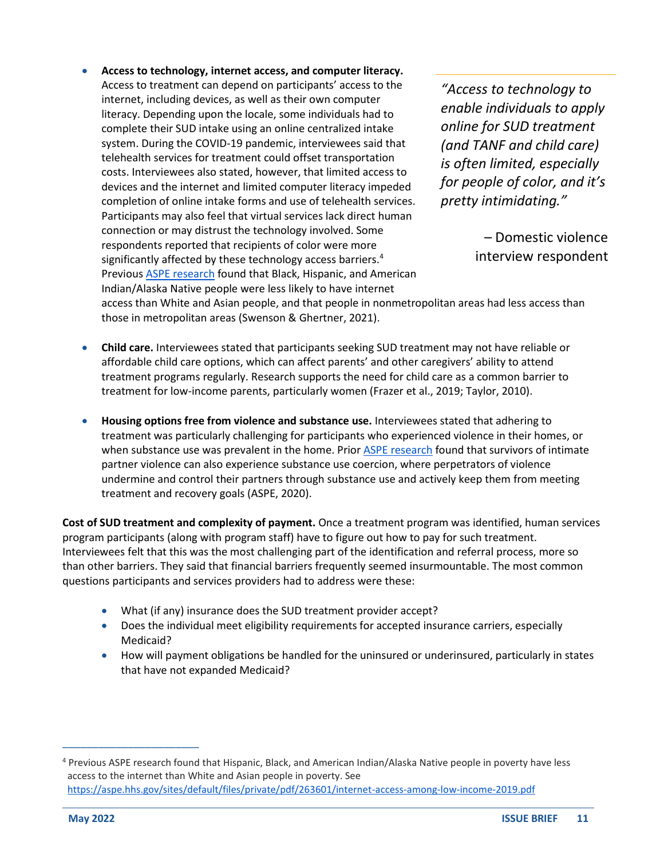• **Access to technology, internet access, and computer literacy.**  Access to treatment can depend on participants' access to the internet, including devices, as well as their own computer literacy. Depending upon the locale, some individuals had to complete their SUD intake using an online centralized intake system. During the COVID-19 pandemic, interviewees said that telehealth services for treatment could offset transportation costs. Interviewees also stated, however, that limited access to devices and the internet and limited computer literacy impeded completion of online intake forms and use of telehealth services. Participants may also feel that virtual services lack direct human connection or may distrust the technology involved. Some respondents reported that recipients of color were more significantly affected by these technology access barriers.<sup>4</sup> Previous **ASPE research found that Black, Hispanic, and American** Indian/Alaska Native people were less likely to have internet

*"Access to technology to enable individuals to apply online for SUD treatment (and TANF and child care) is often limited, especially for people of color, and it's pretty intimidating."* 

> – Domestic violence interview respondent

access than White and Asian people, and that people in nonmetropolitan areas had less access than those in metropolitan areas (Swenson & Ghertner, 2021).

- **Child care.** Interviewees stated that participants seeking SUD treatment may not have reliable or affordable child care options, which can affect parents' and other caregivers' ability to attend treatment programs regularly. Research supports the need for child care as a common barrier to treatment for low-income parents, particularly women (Frazer et al., 2019; Taylor, 2010).
- **Housing options free from violence and substance use.** Interviewees stated that adhering to treatment was particularly challenging for participants who experienced violence in their homes, or when substance use was prevalent in the home. Prior **ASPE research** found that survivors of intimate partner violence can also experience substance use coercion, where perpetrators of violence undermine and control their partners through substance use and actively keep them from meeting treatment and recovery goals (ASPE, 2020).

**Cost of SUD treatment and complexity of payment.** Once a treatment program was identified, human services program participants (along with program staff) have to figure out how to pay for such treatment. Interviewees felt that this was the most challenging part of the identification and referral process, more so than other barriers. They said that financial barriers frequently seemed insurmountable. The most common questions participants and services providers had to address were these:

- What (if any) insurance does the SUD treatment provider accept?
- Does the individual meet eligibility requirements for accepted insurance carriers, especially Medicaid?
- How will payment obligations be handled for the uninsured or underinsured, particularly in states that have not expanded Medicaid?

<sup>4</sup> Previous ASPE research found that Hispanic, Black, and American Indian/Alaska Native people in poverty have less access to the internet than White and Asian people in poverty. See <https://aspe.hhs.gov/sites/default/files/private/pdf/263601/internet-access-among-low-income-2019.pdf>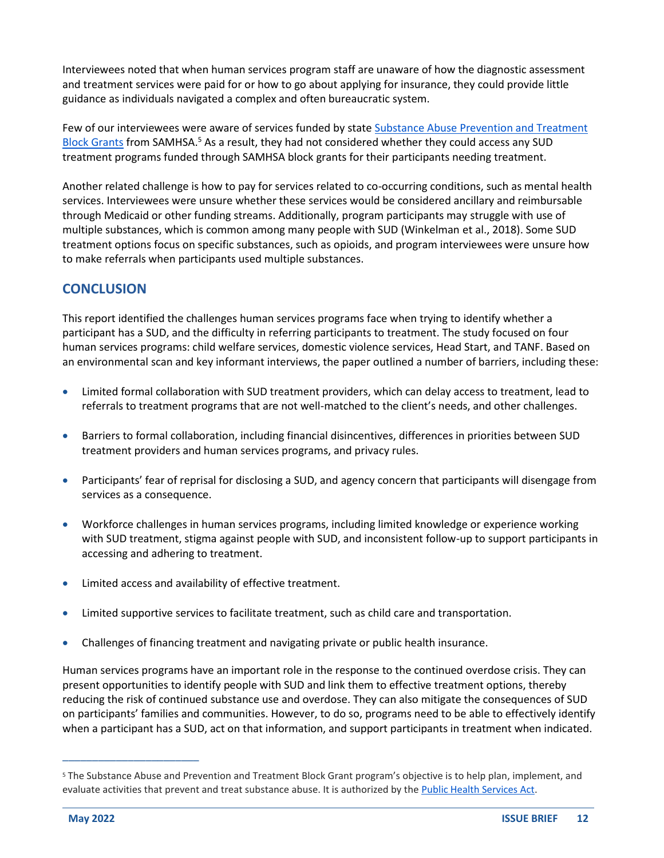Interviewees noted that when human services program staff are unaware of how the diagnostic assessment and treatment services were paid for or how to go about applying for insurance, they could provide little guidance as individuals navigated a complex and often bureaucratic system.

Few of our interviewees were aware of services funded by stat[e Substance Abuse Prevention and Treatment](https://www.samhsa.gov/grants/block-grants/sabg)  [Block Grants](https://www.samhsa.gov/grants/block-grants/sabg) from SAMHSA.<sup>5</sup> As a result, they had not considered whether they could access any SUD treatment programs funded through SAMHSA block grants for their participants needing treatment.

Another related challenge is how to pay for services related to co-occurring conditions, such as mental health services. Interviewees were unsure whether these services would be considered ancillary and reimbursable through Medicaid or other funding streams. Additionally, program participants may struggle with use of multiple substances, which is common among many people with SUD (Winkelman et al., 2018). Some SUD treatment options focus on specific substances, such as opioids, and program interviewees were unsure how to make referrals when participants used multiple substances.

# **CONCLUSION**

This report identified the challenges human services programs face when trying to identify whether a participant has a SUD, and the difficulty in referring participants to treatment. The study focused on four human services programs: child welfare services, domestic violence services, Head Start, and TANF. Based on an environmental scan and key informant interviews, the paper outlined a number of barriers, including these:

- Limited formal collaboration with SUD treatment providers, which can delay access to treatment, lead to referrals to treatment programs that are not well-matched to the client's needs, and other challenges.
- Barriers to formal collaboration, including financial disincentives, differences in priorities between SUD treatment providers and human services programs, and privacy rules.
- Participants' fear of reprisal for disclosing a SUD, and agency concern that participants will disengage from services as a consequence.
- Workforce challenges in human services programs, including limited knowledge or experience working with SUD treatment, stigma against people with SUD, and inconsistent follow-up to support participants in accessing and adhering to treatment.
- Limited access and availability of effective treatment.
- Limited supportive services to facilitate treatment, such as child care and transportation.
- Challenges of financing treatment and navigating private or public health insurance.

Human services programs have an important role in the response to the continued overdose crisis. They can present opportunities to identify people with SUD and link them to effective treatment options, thereby reducing the risk of continued substance use and overdose. They can also mitigate the consequences of SUD on participants' families and communities. However, to do so, programs need to be able to effectively identify when a participant has a SUD, act on that information, and support participants in treatment when indicated.

<sup>5</sup> The Substance Abuse and Prevention and Treatment Block Grant program's objective is to help plan, implement, and evaluate activities that prevent and treat substance abuse. It is authorized by th[e Public Health Services Act.](https://www.govinfo.gov/content/pkg/USCODE-2010-title42/pdf/USCODE-2010-title42-chap6A-subchapXVII-partB.pdf)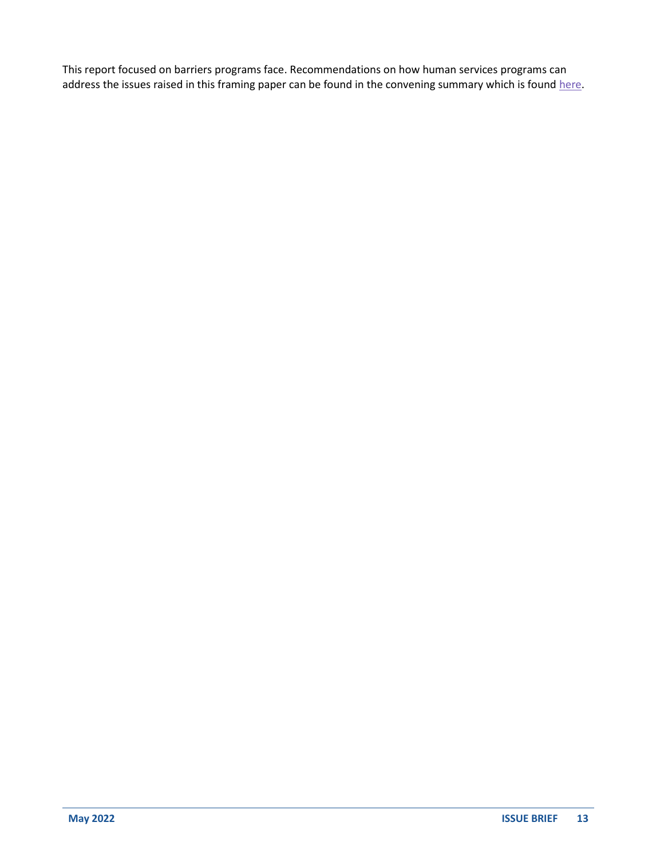This report focused on barriers programs face. Recommendations on how human services programs can address the issues raised in this framing paper can be found in the convening summary which is foun[d here.](https://aspe.hhs.gov/reports/sud-id-referrals-treatment-human-services)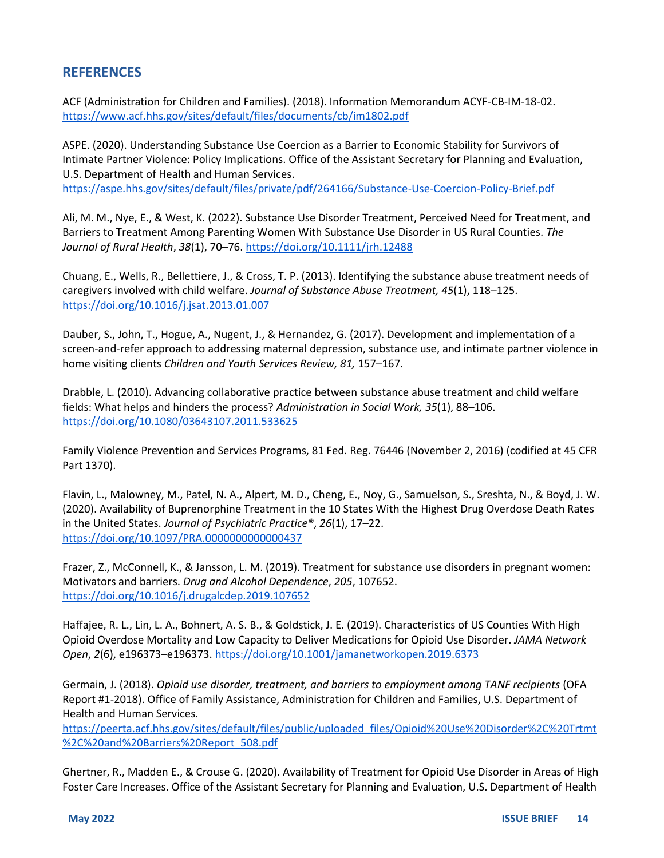## **REFERENCES**

ACF (Administration for Children and Families). (2018). Information Memorandum ACYF-CB-IM-18-02. <https://www.acf.hhs.gov/sites/default/files/documents/cb/im1802.pdf>

ASPE. (2020). Understanding Substance Use Coercion as a Barrier to Economic Stability for Survivors of Intimate Partner Violence: Policy Implications. Office of the Assistant Secretary for Planning and Evaluation, U.S. Department of Health and Human Services. <https://aspe.hhs.gov/sites/default/files/private/pdf/264166/Substance-Use-Coercion-Policy-Brief.pdf>

Ali, M. M., Nye, E., & West, K. (2022). Substance Use Disorder Treatment, Perceived Need for Treatment, and Barriers to Treatment Among Parenting Women With Substance Use Disorder in US Rural Counties. *The Journal of Rural Health*, *38*(1), 70–76[. https://doi.org/10.1111/jrh.12488](https://doi.org/10.1111/jrh.12488)

Chuang, E., Wells, R., Bellettiere, J., & Cross, T. P. (2013). Identifying the substance abuse treatment needs of caregivers involved with child welfare. *Journal of Substance Abuse Treatment, 45*(1), 118–125. <https://doi.org/10.1016/j.jsat.2013.01.007>

Dauber, S., John, T., Hogue, A., Nugent, J., & Hernandez, G. (2017). Development and implementation of a screen-and-refer approach to addressing maternal depression, substance use, and intimate partner violence in home visiting clients *Children and Youth Services Review, 81,* 157–167.

Drabble, L. (2010). Advancing collaborative practice between substance abuse treatment and child welfare fields: What helps and hinders the process? *Administration in Social Work, 35*(1), 88–106. <https://doi.org/10.1080/03643107.2011.533625>

Family Violence Prevention and Services Programs, 81 Fed. Reg. 76446 (November 2, 2016) (codified at 45 CFR Part 1370).

Flavin, L., Malowney, M., Patel, N. A., Alpert, M. D., Cheng, E., Noy, G., Samuelson, S., Sreshta, N., & Boyd, J. W. (2020). Availability of Buprenorphine Treatment in the 10 States With the Highest Drug Overdose Death Rates in the United States. *Journal of Psychiatric Practice®*, *26*(1), 17–22. <https://doi.org/10.1097/PRA.0000000000000437>

Frazer, Z., McConnell, K., & Jansson, L. M. (2019). Treatment for substance use disorders in pregnant women: Motivators and barriers. *Drug and Alcohol Dependence*, *205*, 107652. <https://doi.org/10.1016/j.drugalcdep.2019.107652>

Haffajee, R. L., Lin, L. A., Bohnert, A. S. B., & Goldstick, J. E. (2019). Characteristics of US Counties With High Opioid Overdose Mortality and Low Capacity to Deliver Medications for Opioid Use Disorder. *JAMA Network Open*, *2*(6), e196373–e196373.<https://doi.org/10.1001/jamanetworkopen.2019.6373>

Germain, J. (2018). *Opioid use disorder, treatment, and barriers to employment among TANF recipients* (OFA Report #1-2018). Office of Family Assistance, Administration for Children and Families, U.S. Department of Health and Human Services.

[https://peerta.acf.hhs.gov/sites/default/files/public/uploaded\\_files/Opioid%20Use%20Disorder%2C%20Trtmt](https://peerta.acf.hhs.gov/sites/default/files/public/uploaded_files/Opioid%20Use%20Disorder%2C%20Trtmt%2C%20and%20Barriers%20Report_508.pdf) [%2C%20and%20Barriers%20Report\\_508.pdf](https://peerta.acf.hhs.gov/sites/default/files/public/uploaded_files/Opioid%20Use%20Disorder%2C%20Trtmt%2C%20and%20Barriers%20Report_508.pdf)

Ghertner, R., Madden E., & Crouse G. (2020). Availability of Treatment for Opioid Use Disorder in Areas of High Foster Care Increases. Office of the Assistant Secretary for Planning and Evaluation, U.S. Department of Health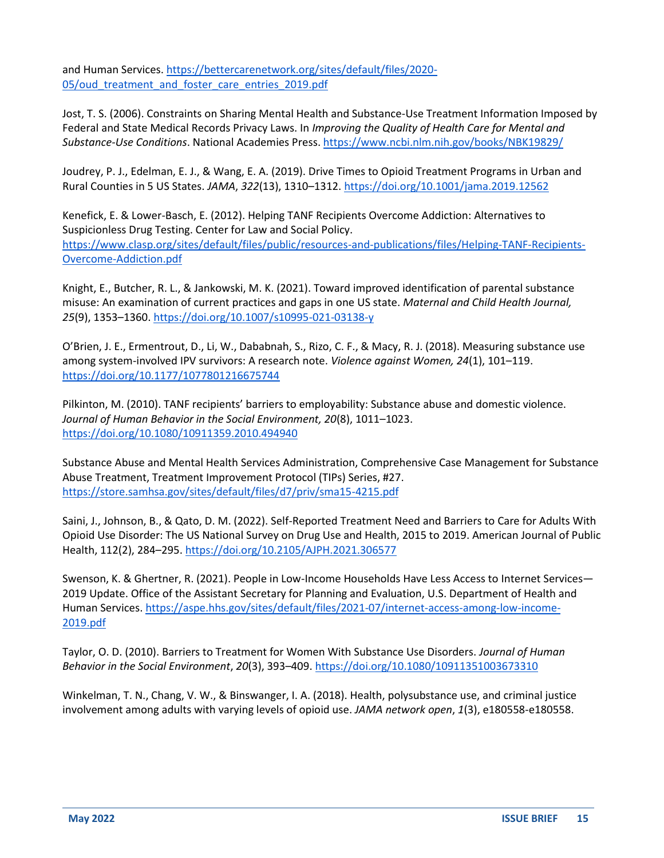and Human Services[. https://bettercarenetwork.org/sites/default/files/2020-](https://bettercarenetwork.org/sites/default/files/2020-05/oud_treatment_and_foster_care_entries_2019.pdf) 05/oud treatment and foster care entries 2019.pdf

Jost, T. S. (2006). Constraints on Sharing Mental Health and Substance-Use Treatment Information Imposed by Federal and State Medical Records Privacy Laws. In *Improving the Quality of Health Care for Mental and Substance-Use Conditions*. National Academies Press.<https://www.ncbi.nlm.nih.gov/books/NBK19829/>

Joudrey, P. J., Edelman, E. J., & Wang, E. A. (2019). Drive Times to Opioid Treatment Programs in Urban and Rural Counties in 5 US States. *JAMA*, *322*(13), 1310–1312.<https://doi.org/10.1001/jama.2019.12562>

Kenefick, E. & Lower-Basch, E. (2012). Helping TANF Recipients Overcome Addiction: Alternatives to Suspicionless Drug Testing. Center for Law and Social Policy. [https://www.clasp.org/sites/default/files/public/resources-and-publications/files/Helping-TANF-Recipients-](https://www.clasp.org/sites/default/files/public/resources-and-publications/files/Helping-TANF-Recipients-Overcome-Addiction.pdf)[Overcome-Addiction.pdf](https://www.clasp.org/sites/default/files/public/resources-and-publications/files/Helping-TANF-Recipients-Overcome-Addiction.pdf)

Knight, E., Butcher, R. L., & Jankowski, M. K. (2021). Toward improved identification of parental substance misuse: An examination of current practices and gaps in one US state. *Maternal and Child Health Journal, 25*(9), 1353–1360[. https://doi.org/10.1007/s10995-021-03138-y](https://doi.org/10.1007/s10995-021-03138-y) 

O'Brien, J. E., Ermentrout, D., Li, W., Dababnah, S., Rizo, C. F., & Macy, R. J. (2018). Measuring substance use among system-involved IPV survivors: A research note. *Violence against Women, 24*(1), 101–119. <https://doi.org/10.1177/1077801216675744>

Pilkinton, M. (2010). TANF recipients' barriers to employability: Substance abuse and domestic violence. *Journal of Human Behavior in the Social Environment, 20*(8), 1011–1023. <https://doi.org/10.1080/10911359.2010.494940>

Substance Abuse and Mental Health Services Administration, Comprehensive Case Management for Substance Abuse Treatment, Treatment Improvement Protocol (TIPs) Series, #27. <https://store.samhsa.gov/sites/default/files/d7/priv/sma15-4215.pdf>

Saini, J., Johnson, B., & Qato, D. M. (2022). Self-Reported Treatment Need and Barriers to Care for Adults With Opioid Use Disorder: The US National Survey on Drug Use and Health, 2015 to 2019. American Journal of Public Health, 112(2), 284–295. <https://doi.org/10.2105/AJPH.2021.306577>

Swenson, K. & Ghertner, R. (2021). People in Low-Income Households Have Less Access to Internet Services— 2019 Update. Office of the Assistant Secretary for Planning and Evaluation, U.S. Department of Health and Human Services. [https://aspe.hhs.gov/sites/default/files/2021-07/internet-access-among-low-income-](https://aspe.hhs.gov/sites/default/files/2021-07/internet-access-among-low-income-2019.pdf)[2019.pdf](https://aspe.hhs.gov/sites/default/files/2021-07/internet-access-among-low-income-2019.pdf)

Taylor, O. D. (2010). Barriers to Treatment for Women With Substance Use Disorders. *Journal of Human Behavior in the Social Environment*, *20*(3), 393–409[. https://doi.org/10.1080/10911351003673310](https://doi.org/10.1080/10911351003673310)

Winkelman, T. N., Chang, V. W., & Binswanger, I. A. (2018). Health, polysubstance use, and criminal justice involvement among adults with varying levels of opioid use. *JAMA network open*, *1*(3), e180558-e180558.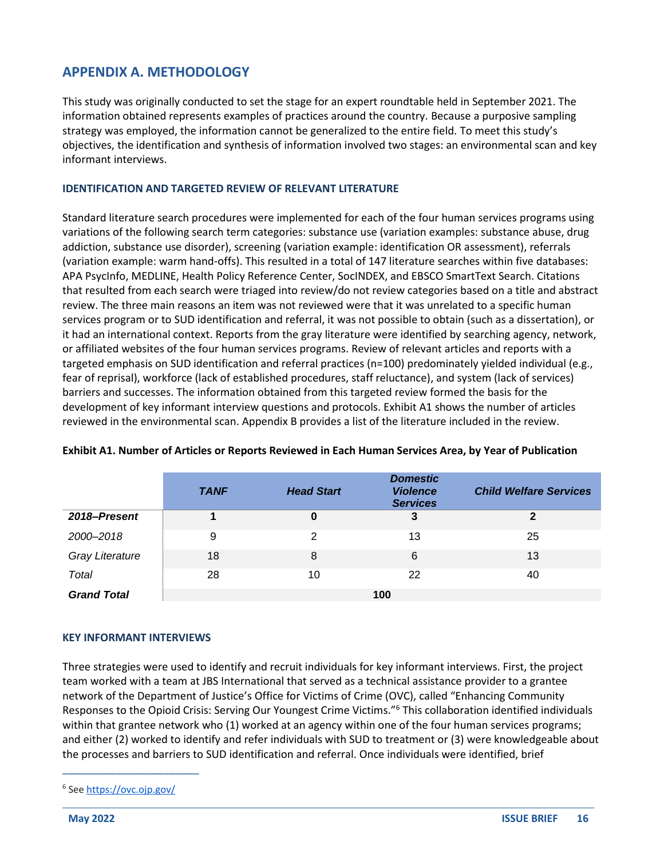### **APPENDIX A. METHODOLOGY**

This study was originally conducted to set the stage for an expert roundtable held in September 2021. The information obtained represents examples of practices around the country. Because a purposive sampling strategy was employed, the information cannot be generalized to the entire field. To meet this study's objectives, the identification and synthesis of information involved two stages: an environmental scan and key informant interviews.

#### **IDENTIFICATION AND TARGETED REVIEW OF RELEVANT LITERATURE**

Standard literature search procedures were implemented for each of the four human services programs using variations of the following search term categories: substance use (variation examples: substance abuse, drug addiction, substance use disorder), screening (variation example: identification OR assessment), referrals (variation example: warm hand-offs). This resulted in a total of 147 literature searches within five databases: APA PsycInfo, MEDLINE, Health Policy Reference Center, SocINDEX, and EBSCO SmartText Search. Citations that resulted from each search were triaged into review/do not review categories based on a title and abstract review. The three main reasons an item was not reviewed were that it was unrelated to a specific human services program or to SUD identification and referral, it was not possible to obtain (such as a dissertation), or it had an international context. Reports from the gray literature were identified by searching agency, network, or affiliated websites of the four human services programs. Review of relevant articles and reports with a targeted emphasis on SUD identification and referral practices (n=100) predominately yielded individual (e.g., fear of reprisal), workforce (lack of established procedures, staff reluctance), and system (lack of services) barriers and successes. The information obtained from this targeted review formed the basis for the development of key informant interview questions and protocols. Exhibit A1 shows the number of articles reviewed in the environmental scan. Appendix B provides a list of the literature included in the review.

|                        | <b>TANF</b> | <b>Head Start</b> | <b>Domestic</b><br><b>Violence</b><br><b>Services</b> | <b>Child Welfare Services</b> |
|------------------------|-------------|-------------------|-------------------------------------------------------|-------------------------------|
| 2018-Present           |             | 0                 | 3                                                     | 2                             |
| 2000-2018              | 9           | 2                 | 13                                                    | 25                            |
| <b>Gray Literature</b> | 18          | 8                 | 6                                                     | 13                            |
| Total                  | 28          | 10                | 22                                                    | 40                            |
| <b>Grand Total</b>     |             |                   | 100                                                   |                               |

#### **Exhibit A1. Number of Articles or Reports Reviewed in Each Human Services Area, by Year of Publication**

#### **KEY INFORMANT INTERVIEWS**

Three strategies were used to identify and recruit individuals for key informant interviews. First, the project team worked with a team at JBS International that served as a technical assistance provider to a grantee network of the Department of Justice's Office for Victims of Crime (OVC), called "Enhancing Community Responses to the Opioid Crisis: Serving Our Youngest Crime Victims."<sup>6</sup> This collaboration identified individuals within that grantee network who (1) worked at an agency within one of the four human services programs; and either (2) worked to identify and refer individuals with SUD to treatment or (3) were knowledgeable about the processes and barriers to SUD identification and referral. Once individuals were identified, brief

<sup>&</sup>lt;sup>6</sup> See<https://ovc.ojp.gov/>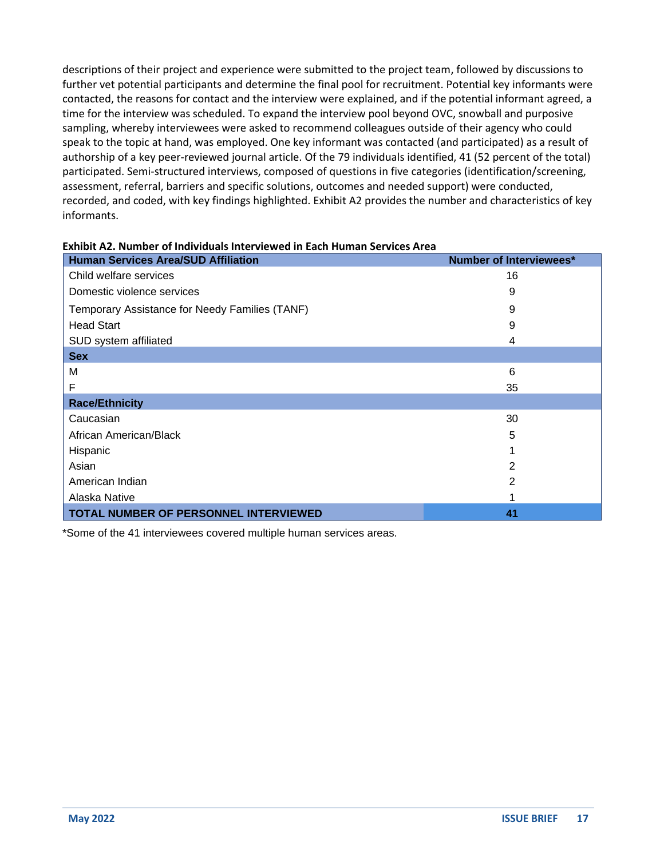descriptions of their project and experience were submitted to the project team, followed by discussions to further vet potential participants and determine the final pool for recruitment. Potential key informants were contacted, the reasons for contact and the interview were explained, and if the potential informant agreed, a time for the interview was scheduled. To expand the interview pool beyond OVC, snowball and purposive sampling, whereby interviewees were asked to recommend colleagues outside of their agency who could speak to the topic at hand, was employed. One key informant was contacted (and participated) as a result of authorship of a key peer-reviewed journal article. Of the 79 individuals identified, 41 (52 percent of the total) participated. Semi-structured interviews, composed of questions in five categories (identification/screening, assessment, referral, barriers and specific solutions, outcomes and needed support) were conducted, recorded, and coded, with key findings highlighted. Exhibit A2 provides the number and characteristics of key informants.

| <b>Human Services Area/SUD Affiliation</b>     | <b>Number of Interviewees*</b> |  |  |  |
|------------------------------------------------|--------------------------------|--|--|--|
| Child welfare services                         | 16                             |  |  |  |
| Domestic violence services                     | 9                              |  |  |  |
| Temporary Assistance for Needy Families (TANF) | 9                              |  |  |  |
| <b>Head Start</b>                              | 9                              |  |  |  |
| SUD system affiliated                          | 4                              |  |  |  |
| <b>Sex</b>                                     |                                |  |  |  |
| M                                              | 6                              |  |  |  |
| F                                              | 35                             |  |  |  |
| <b>Race/Ethnicity</b>                          |                                |  |  |  |
| Caucasian                                      | 30                             |  |  |  |
| African American/Black                         | 5                              |  |  |  |
| Hispanic                                       |                                |  |  |  |
| Asian                                          | $\overline{2}$                 |  |  |  |
| American Indian                                | 2                              |  |  |  |
| Alaska Native                                  |                                |  |  |  |
| TOTAL NUMBER OF PERSONNEL INTERVIEWED          | 41                             |  |  |  |

#### **Exhibit A2. Number of Individuals Interviewed in Each Human Services Area**

\*Some of the 41 interviewees covered multiple human services areas.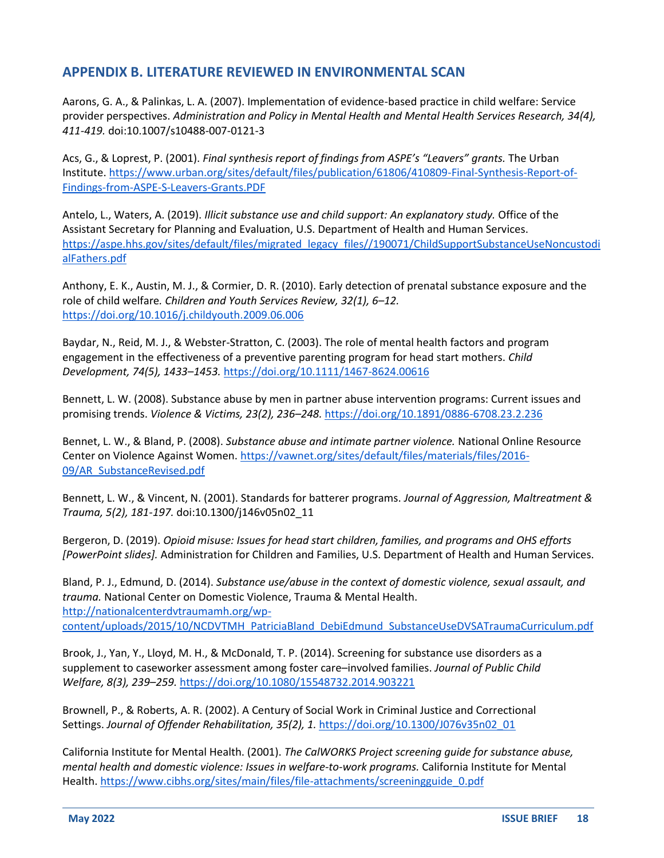## **APPENDIX B. LITERATURE REVIEWED IN ENVIRONMENTAL SCAN**

Aarons, G. A., & Palinkas, L. A. (2007). Implementation of evidence-based practice in child welfare: Service provider perspectives. *Administration and Policy in Mental Health and Mental Health Services Research, 34(4), 411-419.* doi:10.1007/s10488-007-0121-3

Acs, G., & Loprest, P. (2001). *Final synthesis report of findings from ASPE's "Leavers" grants.* The Urban Institute[. https://www.urban.org/sites/default/files/publication/61806/410809-Final-Synthesis-Report-of-](https://www.urban.org/sites/default/files/publication/61806/410809-Final-Synthesis-Report-of-Findings-from-ASPE-S-Leavers-Grants.PDF)[Findings-from-ASPE-S-Leavers-Grants.PDF](https://www.urban.org/sites/default/files/publication/61806/410809-Final-Synthesis-Report-of-Findings-from-ASPE-S-Leavers-Grants.PDF)

Antelo, L., Waters, A. (2019). *Illicit substance use and child support: An explanatory study.* Office of the Assistant Secretary for Planning and Evaluation, U.S. Department of Health and Human Services. [https://aspe.hhs.gov/sites/default/files/migrated\\_legacy\\_files//190071/ChildSupportSubstanceUseNoncustodi](https://aspe.hhs.gov/sites/default/files/migrated_legacy_files/190071/ChildSupportSubstanceUseNoncustodialFathers.pdf) [alFathers.pdf](https://aspe.hhs.gov/sites/default/files/migrated_legacy_files/190071/ChildSupportSubstanceUseNoncustodialFathers.pdf)

Anthony, E. K., Austin, M. J., & Cormier, D. R. (2010). Early detection of prenatal substance exposure and the role of child welfare*. Children and Youth Services Review, 32(1), 6–12.* <https://doi.org/10.1016/j.childyouth.2009.06.006>

Baydar, N., Reid, M. J., & Webster-Stratton, C. (2003). The role of mental health factors and program engagement in the effectiveness of a preventive parenting program for head start mothers. *Child Development, 74(5), 1433–1453.* <https://doi.org/10.1111/1467-8624.00616>

Bennett, L. W. (2008). Substance abuse by men in partner abuse intervention programs: Current issues and promising trends. *Violence & Victims, 23(2), 236–248.* <https://doi.org/10.1891/0886-6708.23.2.236>

Bennet, L. W., & Bland, P. (2008). *Substance abuse and intimate partner violence.* National Online Resource Center on Violence Against Women[. https://vawnet.org/sites/default/files/materials/files/2016-](https://vawnet.org/sites/default/files/materials/files/2016-09/AR_SubstanceRevised.pdf) [09/AR\\_SubstanceRevised.pdf](https://vawnet.org/sites/default/files/materials/files/2016-09/AR_SubstanceRevised.pdf)

Bennett, L. W., & Vincent, N. (2001). Standards for batterer programs. *Journal of Aggression, Maltreatment & Trauma, 5(2), 181-197.* doi:10.1300/j146v05n02\_11

Bergeron, D. (2019). *Opioid misuse: Issues for head start children, families, and programs and OHS efforts [PowerPoint slides].* Administration for Children and Families, U.S. Department of Health and Human Services.

Bland, P. J., Edmund, D. (2014). *Substance use/abuse in the context of domestic violence, sexual assault, and trauma.* National Center on Domestic Violence, Trauma & Mental Health. [http://nationalcenterdvtraumamh.org/wp](http://nationalcenterdvtraumamh.org/wp-content/uploads/2015/10/NCDVTMH_PatriciaBland_DebiEdmund_SubstanceUseDVSATraumaCurriculum.pdf)[content/uploads/2015/10/NCDVTMH\\_PatriciaBland\\_DebiEdmund\\_SubstanceUseDVSATraumaCurriculum.pdf](http://nationalcenterdvtraumamh.org/wp-content/uploads/2015/10/NCDVTMH_PatriciaBland_DebiEdmund_SubstanceUseDVSATraumaCurriculum.pdf)

Brook, J., Yan, Y., Lloyd, M. H., & McDonald, T. P. (2014). Screening for substance use disorders as a supplement to caseworker assessment among foster care–involved families. *Journal of Public Child Welfare, 8(3), 239–259.* <https://doi.org/10.1080/15548732.2014.903221>

Brownell, P., & Roberts, A. R. (2002). A Century of Social Work in Criminal Justice and Correctional Settings. *Journal of Offender Rehabilitation, 35(2), 1.* [https://doi.org/10.1300/J076v35n02\\_01](https://doi.org/10.1300/J076v35n02_01)

California Institute for Mental Health. (2001). *The CalWORKS Project screening guide for substance abuse, mental health and domestic violence: Issues in welfare-to-work programs.* California Institute for Mental Health[. https://www.cibhs.org/sites/main/files/file-attachments/screeningguide\\_0.pdf](https://www.cibhs.org/sites/main/files/file-attachments/screeningguide_0.pdf)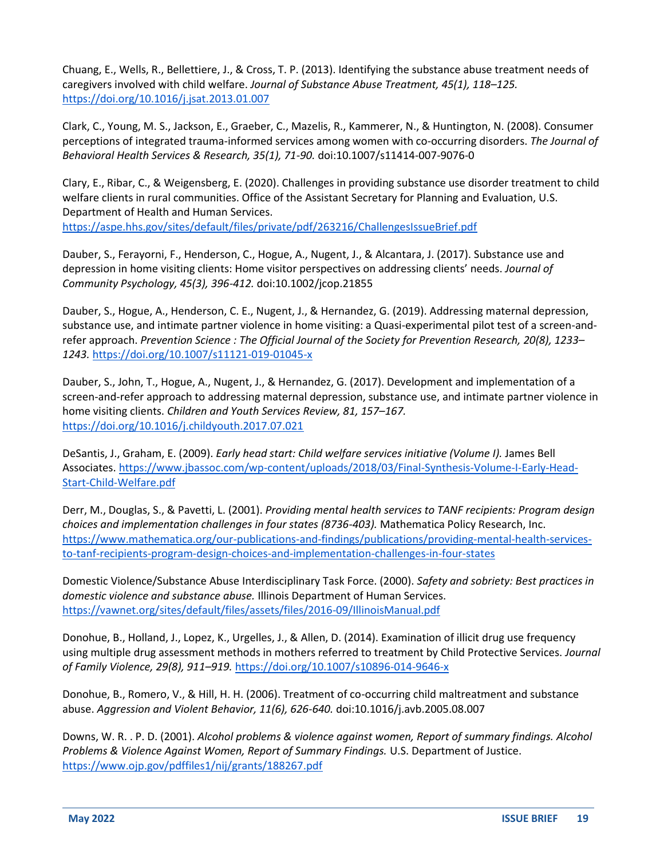Chuang, E., Wells, R., Bellettiere, J., & Cross, T. P. (2013). Identifying the substance abuse treatment needs of caregivers involved with child welfare. *Journal of Substance Abuse Treatment, 45(1), 118–125.* <https://doi.org/10.1016/j.jsat.2013.01.007>

Clark, C., Young, M. S., Jackson, E., Graeber, C., Mazelis, R., Kammerer, N., & Huntington, N. (2008). Consumer perceptions of integrated trauma-informed services among women with co-occurring disorders. *The Journal of Behavioral Health Services & Research, 35(1), 71-90.* doi:10.1007/s11414-007-9076-0

Clary, E., Ribar, C., & Weigensberg, E. (2020). Challenges in providing substance use disorder treatment to child welfare clients in rural communities. Office of the Assistant Secretary for Planning and Evaluation, U.S. Department of Health and Human Services. <https://aspe.hhs.gov/sites/default/files/private/pdf/263216/ChallengesIssueBrief.pdf>

Dauber, S., Ferayorni, F., Henderson, C., Hogue, A., Nugent, J., & Alcantara, J. (2017). Substance use and depression in home visiting clients: Home visitor perspectives on addressing clients' needs. *Journal of Community Psychology, 45(3), 396-412.* doi:10.1002/jcop.21855

Dauber, S., Hogue, A., Henderson, C. E., Nugent, J., & Hernandez, G. (2019). Addressing maternal depression, substance use, and intimate partner violence in home visiting: a Quasi-experimental pilot test of a screen-andrefer approach. *Prevention Science : The Official Journal of the Society for Prevention Research, 20(8), 1233– 1243.* <https://doi.org/10.1007/s11121-019-01045-x>

Dauber, S., John, T., Hogue, A., Nugent, J., & Hernandez, G. (2017). Development and implementation of a screen-and-refer approach to addressing maternal depression, substance use, and intimate partner violence in home visiting clients. *Children and Youth Services Review, 81, 157–167.* <https://doi.org/10.1016/j.childyouth.2017.07.021>

DeSantis, J., Graham, E. (2009). *Early head start: Child welfare services initiative (Volume I).* James Bell Associates[. https://www.jbassoc.com/wp-content/uploads/2018/03/Final-Synthesis-Volume-I-Early-Head-](https://www.jbassoc.com/wp-content/uploads/2018/03/Final-Synthesis-Volume-I-Early-Head-Start-Child-Welfare.pdf)[Start-Child-Welfare.pdf](https://www.jbassoc.com/wp-content/uploads/2018/03/Final-Synthesis-Volume-I-Early-Head-Start-Child-Welfare.pdf)

Derr, M., Douglas, S., & Pavetti, L. (2001). *Providing mental health services to TANF recipients: Program design choices and implementation challenges in four states (8736-403).* Mathematica Policy Research, Inc. [https://www.mathematica.org/our-publications-and-findings/publications/providing-mental-health-services](https://www.mathematica.org/our-publications-and-findings/publications/providing-mental-health-services-to-tanf-recipients-program-design-choices-and-implementation-challenges-in-four-states)[to-tanf-recipients-program-design-choices-and-implementation-challenges-in-four-states](https://www.mathematica.org/our-publications-and-findings/publications/providing-mental-health-services-to-tanf-recipients-program-design-choices-and-implementation-challenges-in-four-states)

Domestic Violence/Substance Abuse Interdisciplinary Task Force. (2000). *Safety and sobriety: Best practices in domestic violence and substance abuse.* Illinois Department of Human Services. <https://vawnet.org/sites/default/files/assets/files/2016-09/IllinoisManual.pdf>

Donohue, B., Holland, J., Lopez, K., Urgelles, J., & Allen, D. (2014). Examination of illicit drug use frequency using multiple drug assessment methods in mothers referred to treatment by Child Protective Services. *Journal of Family Violence, 29(8), 911–919.* <https://doi.org/10.1007/s10896-014-9646-x>

Donohue, B., Romero, V., & Hill, H. H. (2006). Treatment of co-occurring child maltreatment and substance abuse. *Aggression and Violent Behavior, 11(6), 626-640.* doi:10.1016/j.avb.2005.08.007

Downs, W. R. . P. D. (2001). *Alcohol problems & violence against women, Report of summary findings. Alcohol Problems & Violence Against Women, Report of Summary Findings.* U.S. Department of Justice. <https://www.ojp.gov/pdffiles1/nij/grants/188267.pdf>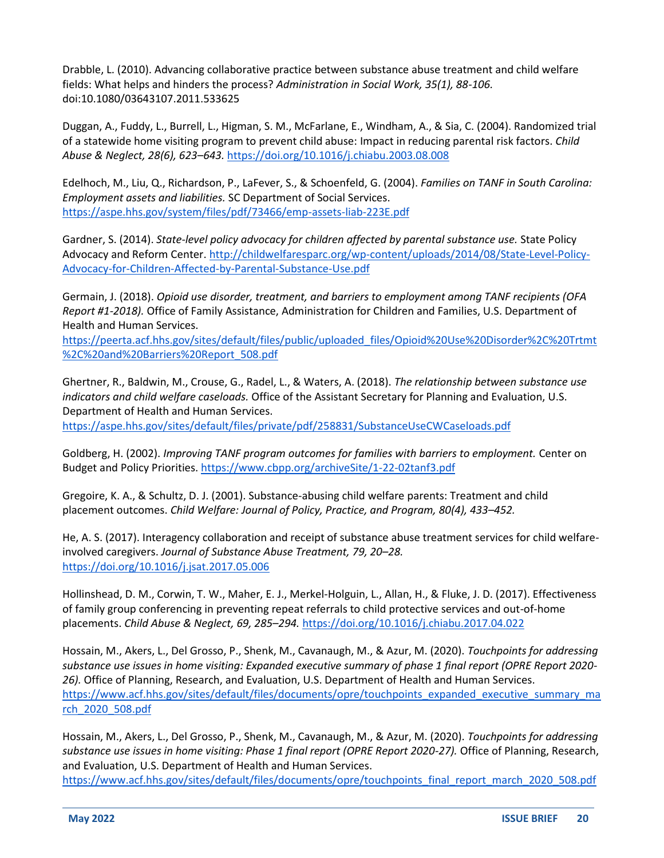Drabble, L. (2010). Advancing collaborative practice between substance abuse treatment and child welfare fields: What helps and hinders the process? *Administration in Social Work, 35(1), 88-106.* doi:10.1080/03643107.2011.533625

Duggan, A., Fuddy, L., Burrell, L., Higman, S. M., McFarlane, E., Windham, A., & Sia, C. (2004). Randomized trial of a statewide home visiting program to prevent child abuse: Impact in reducing parental risk factors. *Child Abuse & Neglect, 28(6), 623–643.* <https://doi.org/10.1016/j.chiabu.2003.08.008>

Edelhoch, M., Liu, Q., Richardson, P., LaFever, S., & Schoenfeld, G. (2004). *Families on TANF in South Carolina: Employment assets and liabilities.* SC Department of Social Services. <https://aspe.hhs.gov/system/files/pdf/73466/emp-assets-liab-223E.pdf>

Gardner, S. (2014). *State-level policy advocacy for children affected by parental substance use.* State Policy Advocacy and Reform Center. [http://childwelfaresparc.org/wp-content/uploads/2014/08/State-Level-Policy-](http://childwelfaresparc.org/wp-content/uploads/2014/08/State-Level-Policy-Advocacy-for-Children-Affected-by-Parental-Substance-Use.pdf)[Advocacy-for-Children-Affected-by-Parental-Substance-Use.pdf](http://childwelfaresparc.org/wp-content/uploads/2014/08/State-Level-Policy-Advocacy-for-Children-Affected-by-Parental-Substance-Use.pdf)

Germain, J. (2018). *Opioid use disorder, treatment, and barriers to employment among TANF recipients (OFA Report #1-2018).* Office of Family Assistance, Administration for Children and Families, U.S. Department of Health and Human Services.

[https://peerta.acf.hhs.gov/sites/default/files/public/uploaded\\_files/Opioid%20Use%20Disorder%2C%20Trtmt](https://peerta.acf.hhs.gov/sites/default/files/public/uploaded_files/Opioid%20Use%20Disorder%2C%20Trtmt%2C%20and%20Barriers%20Report_508.pdf) [%2C%20and%20Barriers%20Report\\_508.pdf](https://peerta.acf.hhs.gov/sites/default/files/public/uploaded_files/Opioid%20Use%20Disorder%2C%20Trtmt%2C%20and%20Barriers%20Report_508.pdf)

Ghertner, R., Baldwin, M., Crouse, G., Radel, L., & Waters, A. (2018). *The relationship between substance use indicators and child welfare caseloads.* Office of the Assistant Secretary for Planning and Evaluation, U.S. Department of Health and Human Services.

<https://aspe.hhs.gov/sites/default/files/private/pdf/258831/SubstanceUseCWCaseloads.pdf>

Goldberg, H. (2002). *Improving TANF program outcomes for families with barriers to employment.* Center on Budget and Policy Priorities.<https://www.cbpp.org/archiveSite/1-22-02tanf3.pdf>

Gregoire, K. A., & Schultz, D. J. (2001). Substance-abusing child welfare parents: Treatment and child placement outcomes. *Child Welfare: Journal of Policy, Practice, and Program, 80(4), 433–452.*

He, A. S. (2017). Interagency collaboration and receipt of substance abuse treatment services for child welfareinvolved caregivers. *Journal of Substance Abuse Treatment, 79, 20–28.*  <https://doi.org/10.1016/j.jsat.2017.05.006>

Hollinshead, D. M., Corwin, T. W., Maher, E. J., Merkel-Holguin, L., Allan, H., & Fluke, J. D. (2017). Effectiveness of family group conferencing in preventing repeat referrals to child protective services and out-of-home placements. *Child Abuse & Neglect, 69, 285–294.* <https://doi.org/10.1016/j.chiabu.2017.04.022>

Hossain, M., Akers, L., Del Grosso, P., Shenk, M., Cavanaugh, M., & Azur, M. (2020). *Touchpoints for addressing substance use issues in home visiting: Expanded executive summary of phase 1 final report (OPRE Report 2020- 26).* Office of Planning, Research, and Evaluation, U.S. Department of Health and Human Services. [https://www.acf.hhs.gov/sites/default/files/documents/opre/touchpoints\\_expanded\\_executive\\_summary\\_ma](https://www.acf.hhs.gov/sites/default/files/documents/opre/touchpoints_expanded_executive_summary_march_2020_508.pdf) [rch\\_2020\\_508.pdf](https://www.acf.hhs.gov/sites/default/files/documents/opre/touchpoints_expanded_executive_summary_march_2020_508.pdf)

Hossain, M., Akers, L., Del Grosso, P., Shenk, M., Cavanaugh, M., & Azur, M. (2020). *Touchpoints for addressing substance use issues in home visiting: Phase 1 final report (OPRE Report 2020-27).* Office of Planning, Research, and Evaluation, U.S. Department of Health and Human Services.

[https://www.acf.hhs.gov/sites/default/files/documents/opre/touchpoints\\_final\\_report\\_march\\_2020\\_508.pdf](https://www.acf.hhs.gov/sites/default/files/documents/opre/touchpoints_final_report_march_2020_508.pdf)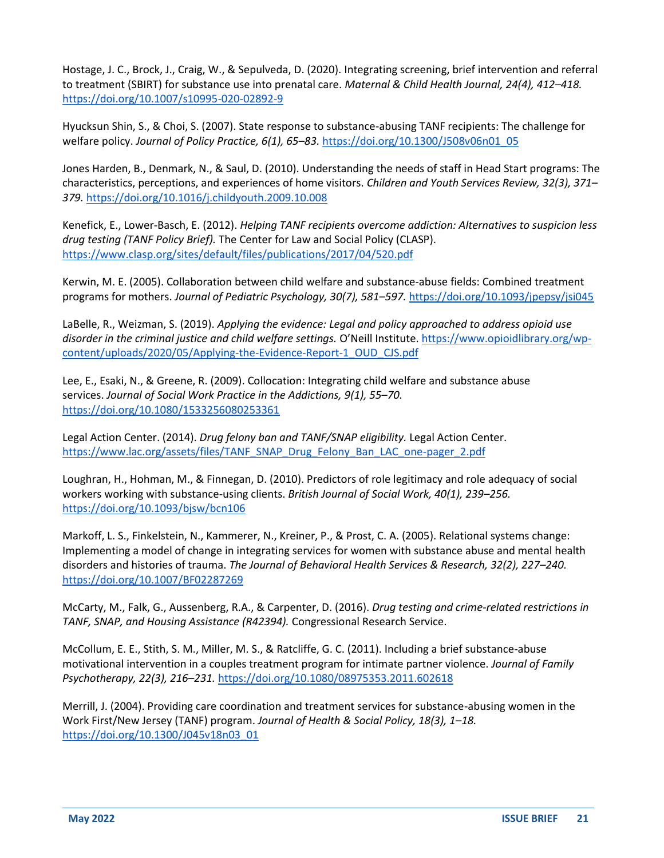Hostage, J. C., Brock, J., Craig, W., & Sepulveda, D. (2020). Integrating screening, brief intervention and referral to treatment (SBIRT) for substance use into prenatal care. *Maternal & Child Health Journal, 24(4), 412–418.* <https://doi.org/10.1007/s10995-020-02892-9>

Hyucksun Shin, S., & Choi, S. (2007). State response to substance-abusing TANF recipients: The challenge for welfare policy. *Journal of Policy Practice, 6(1), 65–83.* [https://doi.org/10.1300/J508v06n01\\_05](https://doi.org/10.1300/J508v06n01_05)

Jones Harden, B., Denmark, N., & Saul, D. (2010). Understanding the needs of staff in Head Start programs: The characteristics, perceptions, and experiences of home visitors. *Children and Youth Services Review, 32(3), 371– 379.* <https://doi.org/10.1016/j.childyouth.2009.10.008>

Kenefick, E., Lower-Basch, E. (2012). *Helping TANF recipients overcome addiction: Alternatives to suspicion less drug testing (TANF Policy Brief).* The Center for Law and Social Policy (CLASP). <https://www.clasp.org/sites/default/files/publications/2017/04/520.pdf>

Kerwin, M. E. (2005). Collaboration between child welfare and substance-abuse fields: Combined treatment programs for mothers. *Journal of Pediatric Psychology, 30(7), 581–597.* <https://doi.org/10.1093/jpepsy/jsi045>

LaBelle, R., Weizman, S. (2019). *Applying the evidence: Legal and policy approached to address opioid use disorder in the criminal justice and child welfare settings.* O'Neill Institute. [https://www.opioidlibrary.org/wp](https://www.opioidlibrary.org/wp-content/uploads/2020/05/Applying-the-Evidence-Report-1_OUD_CJS.pdf)[content/uploads/2020/05/Applying-the-Evidence-Report-1\\_OUD\\_CJS.pdf](https://www.opioidlibrary.org/wp-content/uploads/2020/05/Applying-the-Evidence-Report-1_OUD_CJS.pdf)

Lee, E., Esaki, N., & Greene, R. (2009). Collocation: Integrating child welfare and substance abuse services. *Journal of Social Work Practice in the Addictions, 9(1), 55–70.* <https://doi.org/10.1080/1533256080253361>

Legal Action Center. (2014). *Drug felony ban and TANF/SNAP eligibility.* Legal Action Center. [https://www.lac.org/assets/files/TANF\\_SNAP\\_Drug\\_Felony\\_Ban\\_LAC\\_one-pager\\_2.pdf](https://www.lac.org/assets/files/TANF_SNAP_Drug_Felony_Ban_LAC_one-pager_2.pdf)

Loughran, H., Hohman, M., & Finnegan, D. (2010). Predictors of role legitimacy and role adequacy of social workers working with substance-using clients. *British Journal of Social Work, 40(1), 239–256.* <https://doi.org/10.1093/bjsw/bcn106>

Markoff, L. S., Finkelstein, N., Kammerer, N., Kreiner, P., & Prost, C. A. (2005). Relational systems change: Implementing a model of change in integrating services for women with substance abuse and mental health disorders and histories of trauma. *The Journal of Behavioral Health Services & Research, 32(2), 227–240.* <https://doi.org/10.1007/BF02287269>

McCarty, M., Falk, G., Aussenberg, R.A., & Carpenter, D. (2016). *Drug testing and crime-related restrictions in TANF, SNAP, and Housing Assistance (R42394).* Congressional Research Service.

McCollum, E. E., Stith, S. M., Miller, M. S., & Ratcliffe, G. C. (2011). Including a brief substance-abuse motivational intervention in a couples treatment program for intimate partner violence. *Journal of Family Psychotherapy, 22(3), 216–231.* <https://doi.org/10.1080/08975353.2011.602618>

Merrill, J. (2004). Providing care coordination and treatment services for substance-abusing women in the Work First/New Jersey (TANF) program. *Journal of Health & Social Policy, 18(3), 1–18.* [https://doi.org/10.1300/J045v18n03\\_01](https://doi.org/10.1300/J045v18n03_01)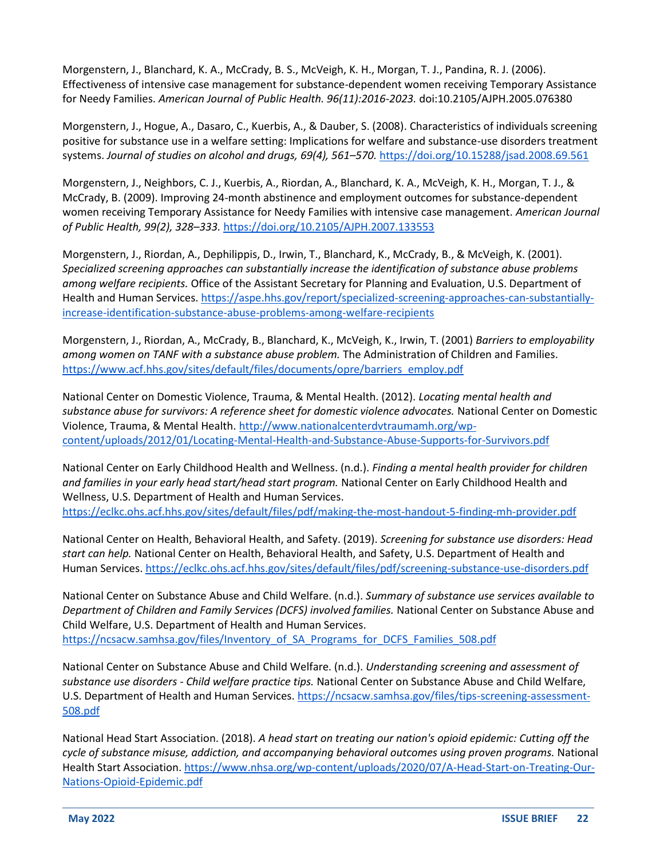Morgenstern, J., Blanchard, K. A., McCrady, B. S., McVeigh, K. H., Morgan, T. J., Pandina, R. J. (2006). Effectiveness of intensive case management for substance-dependent women receiving Temporary Assistance for Needy Families. *American Journal of Public Health. 96(11):2016-2023.* doi:10.2105/AJPH.2005.076380

Morgenstern, J., Hogue, A., Dasaro, C., Kuerbis, A., & Dauber, S. (2008). Characteristics of individuals screening positive for substance use in a welfare setting: Implications for welfare and substance-use disorders treatment systems. *Journal of studies on alcohol and drugs, 69(4), 561–570.* <https://doi.org/10.15288/jsad.2008.69.561>

Morgenstern, J., Neighbors, C. J., Kuerbis, A., Riordan, A., Blanchard, K. A., McVeigh, K. H., Morgan, T. J., & McCrady, B. (2009). Improving 24-month abstinence and employment outcomes for substance-dependent women receiving Temporary Assistance for Needy Families with intensive case management. *American Journal of Public Health, 99(2), 328–333.* <https://doi.org/10.2105/AJPH.2007.133553>

Morgenstern, J., Riordan, A., Dephilippis, D., Irwin, T., Blanchard, K., McCrady, B., & McVeigh, K. (2001). *Specialized screening approaches can substantially increase the identification of substance abuse problems among welfare recipients.* Office of the Assistant Secretary for Planning and Evaluation, U.S. Department of Health and Human Services. [https://aspe.hhs.gov/report/specialized-screening-approaches-can-substantially](https://aspe.hhs.gov/report/specialized-screening-approaches-can-substantially-increase-identification-substance-abuse-problems-among-welfare-recipients)[increase-identification-substance-abuse-problems-among-welfare-recipients](https://aspe.hhs.gov/report/specialized-screening-approaches-can-substantially-increase-identification-substance-abuse-problems-among-welfare-recipients)

Morgenstern, J., Riordan, A., McCrady, B., Blanchard, K., McVeigh, K., Irwin, T. (2001) *Barriers to employability among women on TANF with a substance abuse problem.* The Administration of Children and Families. [https://www.acf.hhs.gov/sites/default/files/documents/opre/barriers\\_employ.pdf](https://www.acf.hhs.gov/sites/default/files/documents/opre/barriers_employ.pdf)

National Center on Domestic Violence, Trauma, & Mental Health. (2012). *Locating mental health and substance abuse for survivors: A reference sheet for domestic violence advocates.* National Center on Domestic Violence, Trauma, & Mental Health. [http://www.nationalcenterdvtraumamh.org/wp](http://www.nationalcenterdvtraumamh.org/wp-content/uploads/2012/01/Locating-Mental-Health-and-Substance-Abuse-Supports-for-Survivors.pdf)[content/uploads/2012/01/Locating-Mental-Health-and-Substance-Abuse-Supports-for-Survivors.pdf](http://www.nationalcenterdvtraumamh.org/wp-content/uploads/2012/01/Locating-Mental-Health-and-Substance-Abuse-Supports-for-Survivors.pdf)

National Center on Early Childhood Health and Wellness. (n.d.). *Finding a mental health provider for children and families in your early head start/head start program.* National Center on Early Childhood Health and Wellness, U.S. Department of Health and Human Services. <https://eclkc.ohs.acf.hhs.gov/sites/default/files/pdf/making-the-most-handout-5-finding-mh-provider.pdf>

National Center on Health, Behavioral Health, and Safety. (2019). *Screening for substance use disorders: Head start can help.* National Center on Health, Behavioral Health, and Safety, U.S. Department of Health and Human Services.<https://eclkc.ohs.acf.hhs.gov/sites/default/files/pdf/screening-substance-use-disorders.pdf>

National Center on Substance Abuse and Child Welfare. (n.d.). *Summary of substance use services available to Department of Children and Family Services (DCFS) involved families.* National Center on Substance Abuse and Child Welfare, U.S. Department of Health and Human Services. [https://ncsacw.samhsa.gov/files/Inventory\\_of\\_SA\\_Programs\\_for\\_DCFS\\_Families\\_508.pdf](https://ncsacw.samhsa.gov/files/Inventory_of_SA_Programs_for_DCFS_Families_508.pdf)

National Center on Substance Abuse and Child Welfare. (n.d.). *Understanding screening and assessment of substance use disorders - Child welfare practice tips.* National Center on Substance Abuse and Child Welfare, U.S. Department of Health and Human Services. [https://ncsacw.samhsa.gov/files/tips-screening-assessment-](https://ncsacw.samhsa.gov/files/tips-screening-assessment-508.pdf)[508.pdf](https://ncsacw.samhsa.gov/files/tips-screening-assessment-508.pdf)

National Head Start Association. (2018). *A head start on treating our nation's opioid epidemic: Cutting off the cycle of substance misuse, addiction, and accompanying behavioral outcomes using proven programs.* National Health Start Association. [https://www.nhsa.org/wp-content/uploads/2020/07/A-Head-Start-on-Treating-Our-](https://www.nhsa.org/wp-content/uploads/2020/07/A-Head-Start-on-Treating-Our-Nations-Opioid-Epidemic.pdf)[Nations-Opioid-Epidemic.pdf](https://www.nhsa.org/wp-content/uploads/2020/07/A-Head-Start-on-Treating-Our-Nations-Opioid-Epidemic.pdf)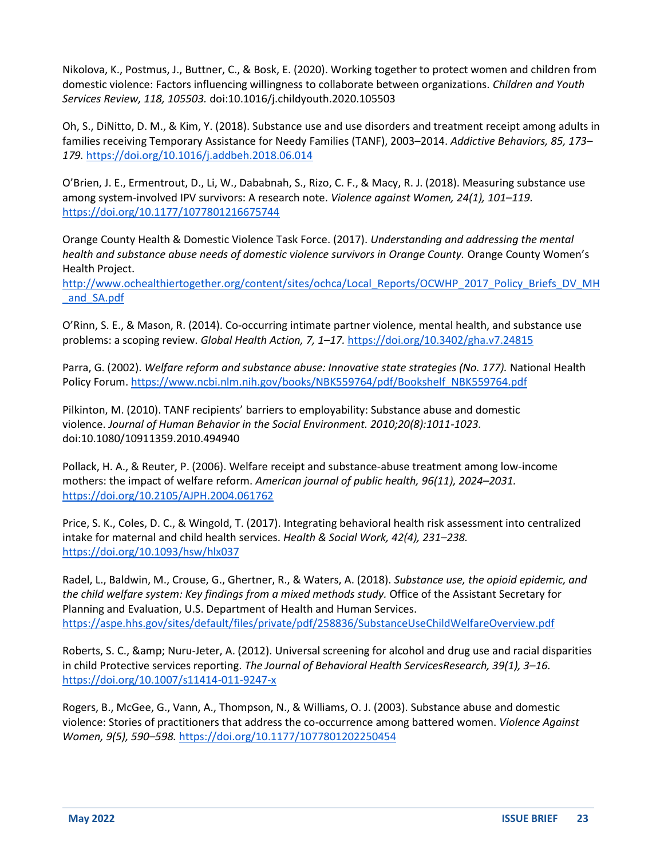Nikolova, K., Postmus, J., Buttner, C., & Bosk, E. (2020). Working together to protect women and children from domestic violence: Factors influencing willingness to collaborate between organizations. *Children and Youth Services Review, 118, 105503.* doi:10.1016/j.childyouth.2020.105503

Oh, S., DiNitto, D. M., & Kim, Y. (2018). Substance use and use disorders and treatment receipt among adults in families receiving Temporary Assistance for Needy Families (TANF), 2003–2014. *Addictive Behaviors, 85, 173– 179.* <https://doi.org/10.1016/j.addbeh.2018.06.014>

O'Brien, J. E., Ermentrout, D., Li, W., Dababnah, S., Rizo, C. F., & Macy, R. J. (2018). Measuring substance use among system-involved IPV survivors: A research note. *Violence against Women, 24(1), 101–119.* <https://doi.org/10.1177/1077801216675744>

Orange County Health & Domestic Violence Task Force. (2017). *Understanding and addressing the mental health and substance abuse needs of domestic violence survivors in Orange County.* Orange County Women's Health Project.

[http://www.ochealthiertogether.org/content/sites/ochca/Local\\_Reports/OCWHP\\_2017\\_Policy\\_Briefs\\_DV\\_MH](http://www.ochealthiertogether.org/content/sites/ochca/Local_Reports/OCWHP_2017_Policy_Briefs_DV_MH_and_SA.pdf) and SA.pdf

O'Rinn, S. E., & Mason, R. (2014). Co-occurring intimate partner violence, mental health, and substance use problems: a scoping review. *Global Health Action, 7, 1–17.* <https://doi.org/10.3402/gha.v7.24815>

Parra, G. (2002). *Welfare reform and substance abuse: Innovative state strategies (No. 177).* National Health Policy Forum. [https://www.ncbi.nlm.nih.gov/books/NBK559764/pdf/Bookshelf\\_NBK559764.pdf](https://www.ncbi.nlm.nih.gov/books/NBK559764/pdf/Bookshelf_NBK559764.pdf)

Pilkinton, M. (2010). TANF recipients' barriers to employability: Substance abuse and domestic violence. *Journal of Human Behavior in the Social Environment. 2010;20(8):1011-1023.* doi:10.1080/10911359.2010.494940

Pollack, H. A., & Reuter, P. (2006). Welfare receipt and substance-abuse treatment among low-income mothers: the impact of welfare reform. *American journal of public health, 96(11), 2024–2031.* <https://doi.org/10.2105/AJPH.2004.061762>

Price, S. K., Coles, D. C., & Wingold, T. (2017). Integrating behavioral health risk assessment into centralized intake for maternal and child health services. *Health & Social Work, 42(4), 231–238.* <https://doi.org/10.1093/hsw/hlx037>

Radel, L., Baldwin, M., Crouse, G., Ghertner, R., & Waters, A. (2018). *Substance use, the opioid epidemic, and the child welfare system: Key findings from a mixed methods study.* Office of the Assistant Secretary for Planning and Evaluation, U.S. Department of Health and Human Services. <https://aspe.hhs.gov/sites/default/files/private/pdf/258836/SubstanceUseChildWelfareOverview.pdf>

Roberts, S. C., & Nuru-Jeter, A. (2012). Universal screening for alcohol and drug use and racial disparities in child Protective services reporting. *The Journal of Behavioral Health ServicesResearch, 39(1), 3–16.* <https://doi.org/10.1007/s11414-011-9247-x>

Rogers, B., McGee, G., Vann, A., Thompson, N., & Williams, O. J. (2003). Substance abuse and domestic violence: Stories of practitioners that address the co-occurrence among battered women. *Violence Against Women, 9(5), 590–598.* <https://doi.org/10.1177/1077801202250454>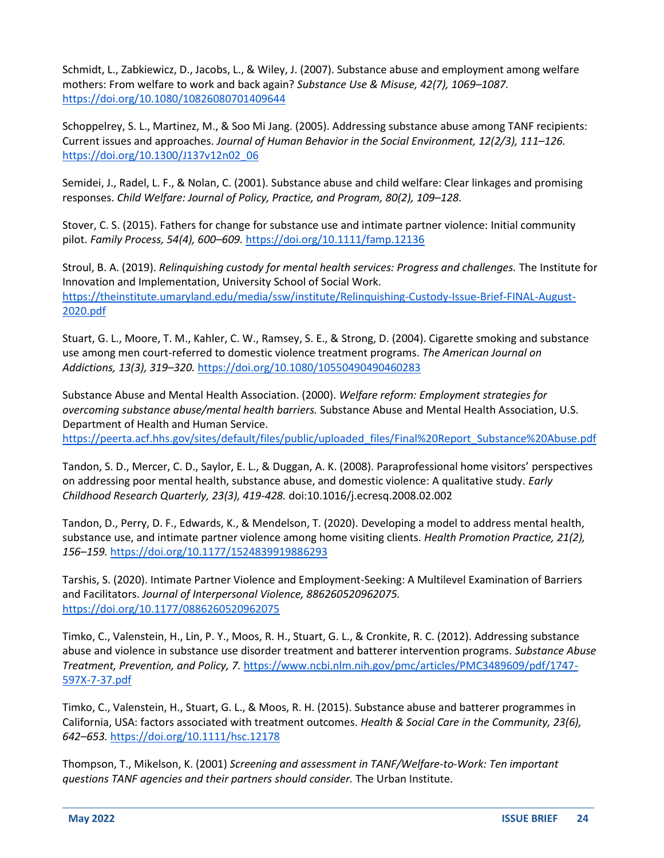Schmidt, L., Zabkiewicz, D., Jacobs, L., & Wiley, J. (2007). Substance abuse and employment among welfare mothers: From welfare to work and back again? *Substance Use & Misuse, 42(7), 1069–1087.*  <https://doi.org/10.1080/10826080701409644>

Schoppelrey, S. L., Martinez, M., & Soo Mi Jang. (2005). Addressing substance abuse among TANF recipients: Current issues and approaches. *Journal of Human Behavior in the Social Environment, 12(2/3), 111–126.* [https://doi.org/10.1300/J137v12n02\\_06](https://doi.org/10.1300/J137v12n02_06)

Semidei, J., Radel, L. F., & Nolan, C. (2001). Substance abuse and child welfare: Clear linkages and promising responses. *Child Welfare: Journal of Policy, Practice, and Program, 80(2), 109–128.* 

Stover, C. S. (2015). Fathers for change for substance use and intimate partner violence: Initial community pilot. *Family Process, 54(4), 600–609.* <https://doi.org/10.1111/famp.12136>

Stroul, B. A. (2019). *Relinquishing custody for mental health services: Progress and challenges.* The Institute for Innovation and Implementation, University School of Social Work. [https://theinstitute.umaryland.edu/media/ssw/institute/Relinquishing-Custody-Issue-Brief-FINAL-August-](https://theinstitute.umaryland.edu/media/ssw/institute/Relinquishing-Custody-Issue-Brief-FINAL-August-2020.pdf)[2020.pdf](https://theinstitute.umaryland.edu/media/ssw/institute/Relinquishing-Custody-Issue-Brief-FINAL-August-2020.pdf)

Stuart, G. L., Moore, T. M., Kahler, C. W., Ramsey, S. E., & Strong, D. (2004). Cigarette smoking and substance use among men court-referred to domestic violence treatment programs. *The American Journal on Addictions, 13(3), 319–320.* <https://doi.org/10.1080/10550490490460283>

Substance Abuse and Mental Health Association. (2000). *Welfare reform: Employment strategies for overcoming substance abuse/mental health barriers.* Substance Abuse and Mental Health Association, U.S. Department of Health and Human Service.

[https://peerta.acf.hhs.gov/sites/default/files/public/uploaded\\_files/Final%20Report\\_Substance%20Abuse.pdf](https://peerta.acf.hhs.gov/sites/default/files/public/uploaded_files/Final%20Report_Substance%20Abuse.pdf)

Tandon, S. D., Mercer, C. D., Saylor, E. L., & Duggan, A. K. (2008). Paraprofessional home visitors' perspectives on addressing poor mental health, substance abuse, and domestic violence: A qualitative study. *Early Childhood Research Quarterly, 23(3), 419-428.* doi:10.1016/j.ecresq.2008.02.002

Tandon, D., Perry, D. F., Edwards, K., & Mendelson, T. (2020). Developing a model to address mental health, substance use, and intimate partner violence among home visiting clients. *Health Promotion Practice, 21(2), 156–159.* <https://doi.org/10.1177/1524839919886293>

Tarshis, S. (2020). Intimate Partner Violence and Employment-Seeking: A Multilevel Examination of Barriers and Facilitators. *Journal of Interpersonal Violence, 886260520962075.* <https://doi.org/10.1177/0886260520962075>

Timko, C., Valenstein, H., Lin, P. Y., Moos, R. H., Stuart, G. L., & Cronkite, R. C. (2012). Addressing substance abuse and violence in substance use disorder treatment and batterer intervention programs. *Substance Abuse Treatment, Prevention, and Policy, 7.* [https://www.ncbi.nlm.nih.gov/pmc/articles/PMC3489609/pdf/1747-](https://www.ncbi.nlm.nih.gov/pmc/articles/PMC3489609/pdf/1747-597X-7-37.pdf) [597X-7-37.pdf](https://www.ncbi.nlm.nih.gov/pmc/articles/PMC3489609/pdf/1747-597X-7-37.pdf)

Timko, C., Valenstein, H., Stuart, G. L., & Moos, R. H. (2015). Substance abuse and batterer programmes in California, USA: factors associated with treatment outcomes. *Health & Social Care in the Community, 23(6), 642–653.* <https://doi.org/10.1111/hsc.12178>

Thompson, T., Mikelson, K. (2001) *Screening and assessment in TANF/Welfare-to-Work: Ten important questions TANF agencies and their partners should consider.* The Urban Institute.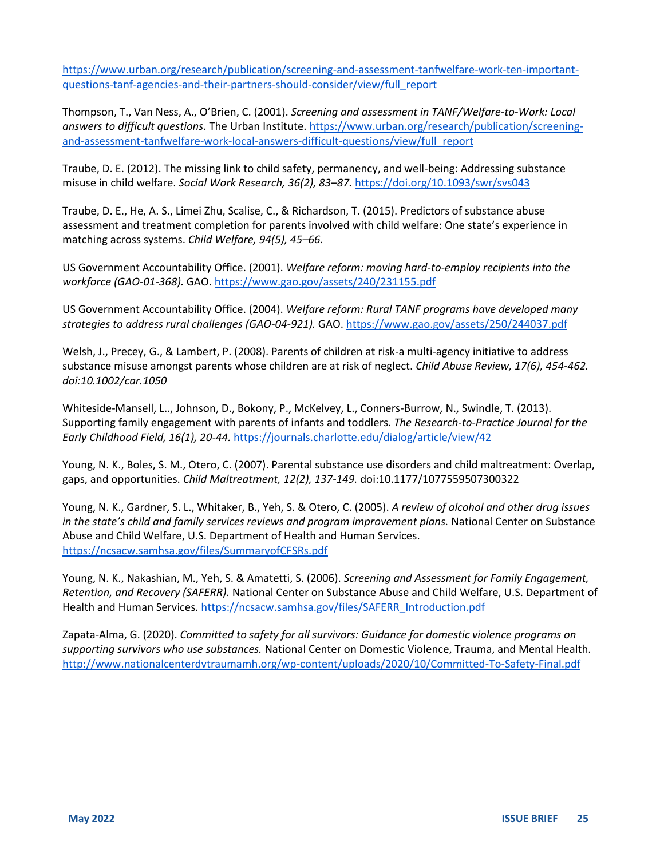[https://www.urban.org/research/publication/screening-and-assessment-tanfwelfare-work-ten-important](https://www.urban.org/research/publication/screening-and-assessment-tanfwelfare-work-ten-important-questions-tanf-agencies-and-their-partners-should-consider/view/full_report)[questions-tanf-agencies-and-their-partners-should-consider/view/full\\_report](https://www.urban.org/research/publication/screening-and-assessment-tanfwelfare-work-ten-important-questions-tanf-agencies-and-their-partners-should-consider/view/full_report)

Thompson, T., Van Ness, A., O'Brien, C. (2001). *Screening and assessment in TANF/Welfare-to-Work: Local answers to difficult questions.* The Urban Institute. [https://www.urban.org/research/publication/screening](https://www.urban.org/research/publication/screening-and-assessment-tanfwelfare-work-local-answers-difficult-questions/view/full_report)[and-assessment-tanfwelfare-work-local-answers-difficult-questions/view/full\\_report](https://www.urban.org/research/publication/screening-and-assessment-tanfwelfare-work-local-answers-difficult-questions/view/full_report)

Traube, D. E. (2012). The missing link to child safety, permanency, and well-being: Addressing substance misuse in child welfare. *Social Work Research, 36(2), 83–87.* <https://doi.org/10.1093/swr/svs043>

Traube, D. E., He, A. S., Limei Zhu, Scalise, C., & Richardson, T. (2015). Predictors of substance abuse assessment and treatment completion for parents involved with child welfare: One state's experience in matching across systems. *Child Welfare, 94(5), 45–66.*

US Government Accountability Office. (2001). *Welfare reform: moving hard-to-employ recipients into the workforce (GAO-01-368).* GAO.<https://www.gao.gov/assets/240/231155.pdf>

US Government Accountability Office. (2004). *Welfare reform: Rural TANF programs have developed many strategies to address rural challenges (GAO-04-921).* GAO.<https://www.gao.gov/assets/250/244037.pdf>

Welsh, J., Precey, G., & Lambert, P. (2008). Parents of children at risk-a multi-agency initiative to address substance misuse amongst parents whose children are at risk of neglect. *Child Abuse Review, 17(6), 454-462. doi:10.1002/car.1050*

Whiteside-Mansell, L.., Johnson, D., Bokony, P., McKelvey, L., Conners-Burrow, N., Swindle, T. (2013). Supporting family engagement with parents of infants and toddlers. *The Research-to-Practice Journal for the Early Childhood Field, 16(1), 20-44.* <https://journals.charlotte.edu/dialog/article/view/42>

Young, N. K., Boles, S. M., Otero, C. (2007). Parental substance use disorders and child maltreatment: Overlap, gaps, and opportunities. *Child Maltreatment, 12(2), 137-149.* doi:10.1177/1077559507300322

Young, N. K., Gardner, S. L., Whitaker, B., Yeh, S. & Otero, C. (2005). *A review of alcohol and other drug issues in the state's child and family services reviews and program improvement plans.* National Center on Substance Abuse and Child Welfare, U.S. Department of Health and Human Services. <https://ncsacw.samhsa.gov/files/SummaryofCFSRs.pdf>

Young, N. K., Nakashian, M., Yeh, S. & Amatetti, S. (2006). *Screening and Assessment for Family Engagement, Retention, and Recovery (SAFERR).* National Center on Substance Abuse and Child Welfare, U.S. Department of Health and Human Services. [https://ncsacw.samhsa.gov/files/SAFERR\\_Introduction.pdf](https://ncsacw.samhsa.gov/files/SAFERR_Introduction.pdf)

Zapata-Alma, G. (2020). *Committed to safety for all survivors: Guidance for domestic violence programs on supporting survivors who use substances.* National Center on Domestic Violence, Trauma, and Mental Health. <http://www.nationalcenterdvtraumamh.org/wp-content/uploads/2020/10/Committed-To-Safety-Final.pdf>